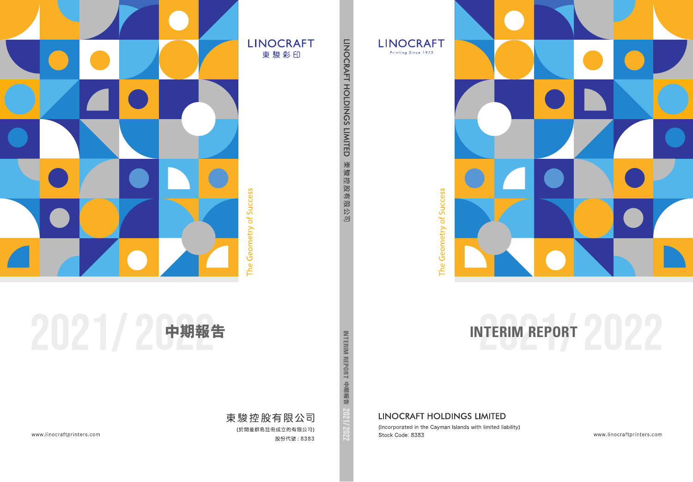



The Geometry of Success

# **中期報告 INTERIM REPORT INTERIM REPORT**

# **LINOCRAFT HOLDINGS LIMITED**

(Incorporated in the Cayman Islands with limited liability) Stock Code: 8383

www.linocraftprinters.com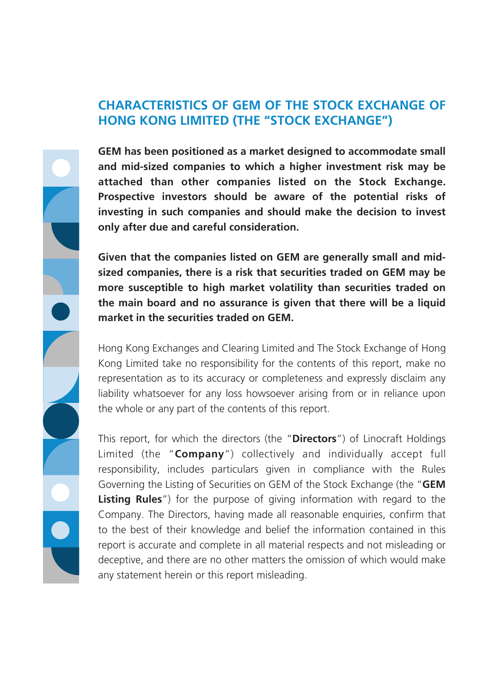#### **CHARACTERISTICS OF GEM OF THE STOCK EXCHANGE OF HONG KONG LIMITED (THE "STOCK EXCHANGE")**

**GEM has been positioned as a market designed to accommodate small and mid-sized companies to which a higher investment risk may be attached than other companies listed on the Stock Exchange. Prospective investors should be aware of the potential risks of investing in such companies and should make the decision to invest only after due and careful consideration.**

**Given that the companies listed on GEM are generally small and midsized companies, there is a risk that securities traded on GEM may be more susceptible to high market volatility than securities traded on the main board and no assurance is given that there will be a liquid market in the securities traded on GEM.**

Hong Kong Exchanges and Clearing Limited and The Stock Exchange of Hong Kong Limited take no responsibility for the contents of this report, make no representation as to its accuracy or completeness and expressly disclaim any liability whatsoever for any loss howsoever arising from or in reliance upon the whole or any part of the contents of this report.

This report, for which the directors (the "**Directors**") of Linocraft Holdings Limited (the "**Company**") collectively and individually accept full responsibility, includes particulars given in compliance with the Rules Governing the Listing of Securities on GEM of the Stock Exchange (the "**GEM Listing Rules**") for the purpose of giving information with regard to the Company. The Directors, having made all reasonable enquiries, confirm that to the best of their knowledge and belief the information contained in this report is accurate and complete in all material respects and not misleading or deceptive, and there are no other matters the omission of which would make any statement herein or this report misleading.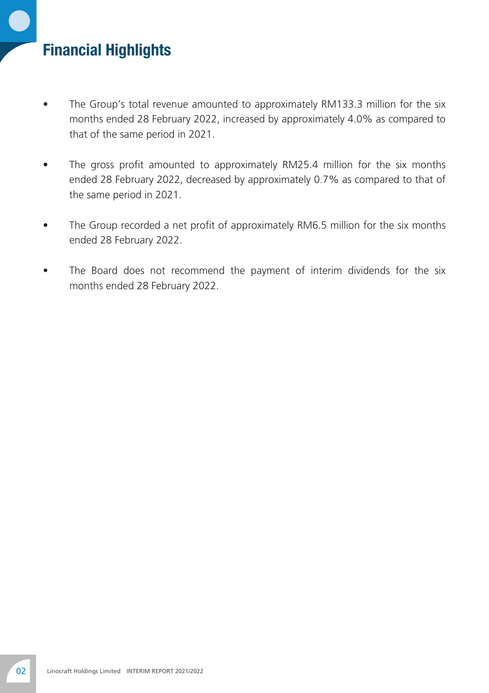# Financial Highlights

- The Group's total revenue amounted to approximately RM133.3 million for the six months ended 28 February 2022, increased by approximately 4.0% as compared to that of the same period in 2021.
- The gross profit amounted to approximately RM25.4 million for the six months ended 28 February 2022, decreased by approximately 0.7% as compared to that of the same period in 2021.
- The Group recorded a net profit of approximately RM6.5 million for the six months ended 28 February 2022.
- The Board does not recommend the payment of interim dividends for the six months ended 28 February 2022.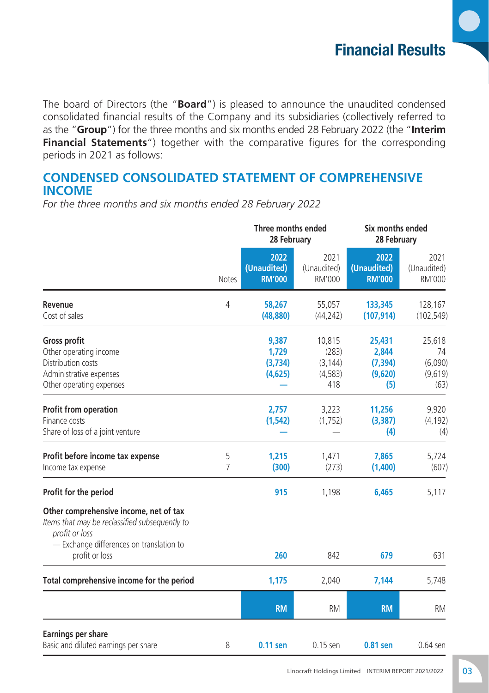

The board of Directors (the "**Board**") is pleased to announce the unaudited condensed consolidated financial results of the Company and its subsidiaries (collectively referred to as the "**Group**") for the three months and six months ended 28 February 2022 (the "**Interim Financial Statements**") together with the comparative figures for the corresponding periods in 2021 as follows:

#### **Condensed Consolidated Statement of Comprehensive Income**

*For the three months and six months ended 28 February 2022*

|                                                                                                                                                                          |                     | Three months ended<br>28 February    |                                                | Six months ended<br>28 February               |                                            |
|--------------------------------------------------------------------------------------------------------------------------------------------------------------------------|---------------------|--------------------------------------|------------------------------------------------|-----------------------------------------------|--------------------------------------------|
|                                                                                                                                                                          | <b>Notes</b>        | 2022<br>(Unaudited)<br><b>RM'000</b> | 2021<br>(Unaudited)<br>RM'000                  | 2022<br>(Unaudited)<br><b>RM'000</b>          | 2021<br>(Unaudited)<br>RM'000              |
| Revenue<br>Cost of sales                                                                                                                                                 | 4                   | 58,267<br>(48, 880)                  | 55,057<br>(44, 242)                            | 133,345<br>(107, 914)                         | 128,167<br>(102, 549)                      |
| Gross profit<br>Other operating income<br>Distribution costs<br>Administrative expenses<br>Other operating expenses                                                      |                     | 9,387<br>1,729<br>(3,734)<br>(4,625) | 10,815<br>(283)<br>(3, 144)<br>(4, 583)<br>418 | 25,431<br>2,844<br>(7, 394)<br>(9,620)<br>(5) | 25,618<br>74<br>(6,090)<br>(9,619)<br>(63) |
| <b>Profit from operation</b><br>Finance costs<br>Share of loss of a joint venture                                                                                        |                     | 2,757<br>(1, 542)                    | 3,223<br>(1,752)                               | 11,256<br>(3, 387)<br>(4)                     | 9,920<br>(4, 192)<br>(4)                   |
| Profit before income tax expense<br>Income tax expense                                                                                                                   | 5<br>$\overline{7}$ | 1,215<br>(300)                       | 1,471<br>(273)                                 | 7,865<br>(1,400)                              | 5,724<br>(607)                             |
| Profit for the period                                                                                                                                                    |                     | 915                                  | 1,198                                          | 6,465                                         | 5,117                                      |
| Other comprehensive income, net of tax<br>Items that may be reclassified subsequently to<br>profit or loss<br>- Exchange differences on translation to<br>profit or loss |                     | 260                                  | 842                                            | 679                                           | 631                                        |
| Total comprehensive income for the period                                                                                                                                |                     | 1,175                                | 2,040                                          | 7,144                                         | 5,748                                      |
|                                                                                                                                                                          |                     | <b>RM</b>                            | <b>RM</b>                                      | <b>RM</b>                                     | <b>RM</b>                                  |
| Earnings per share<br>Basic and diluted earnings per share                                                                                                               | 8                   | 0.11 sen                             | 0.15 sen                                       | 0.81 sen                                      | 0.64 sen                                   |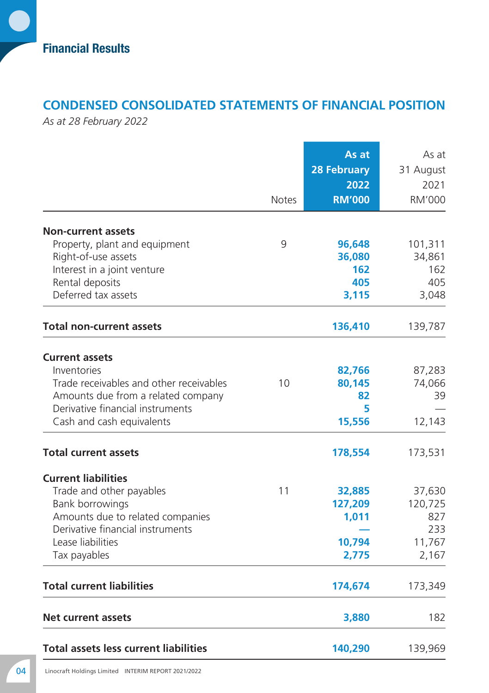## **Condensed Consolidated Statements of Financial Position**

*As at 28 February 2022*

|                                              | <b>Notes</b> | As at<br><b>28 February</b><br>2022<br><b>RM'000</b> | As at<br>31 August<br>2021<br>RM'000 |
|----------------------------------------------|--------------|------------------------------------------------------|--------------------------------------|
|                                              |              |                                                      |                                      |
| <b>Non-current assets</b>                    |              |                                                      |                                      |
| Property, plant and equipment                | 9            | 96,648                                               | 101,311                              |
| Right-of-use assets                          |              | 36,080                                               | 34,861                               |
| Interest in a joint venture                  |              | 162                                                  | 162                                  |
| Rental deposits                              |              | 405                                                  | 405                                  |
| Deferred tax assets                          |              | 3,115                                                | 3,048                                |
| <b>Total non-current assets</b>              |              | 136,410                                              | 139,787                              |
|                                              |              |                                                      |                                      |
| <b>Current assets</b>                        |              |                                                      |                                      |
| Inventories                                  |              | 82,766                                               | 87,283                               |
| Trade receivables and other receivables      | 10           | 80,145                                               | 74,066                               |
| Amounts due from a related company           |              | 82                                                   | 39                                   |
| Derivative financial instruments             |              | 5                                                    |                                      |
| Cash and cash equivalents                    |              | 15,556                                               | 12,143                               |
| <b>Total current assets</b>                  |              | 178,554                                              | 173,531                              |
| <b>Current liabilities</b>                   |              |                                                      |                                      |
| Trade and other payables                     | 11           | 32,885                                               | 37,630                               |
| Bank borrowings                              |              | 127,209                                              | 120,725                              |
| Amounts due to related companies             |              | 1,011                                                | 827                                  |
| Derivative financial instruments             |              |                                                      | 233                                  |
| Lease liabilities                            |              | 10,794                                               | 11,767                               |
| Tax payables                                 |              | 2,775                                                | 2,167                                |
| <b>Total current liabilities</b>             |              | 174,674                                              | 173,349                              |
| <b>Net current assets</b>                    |              | 3,880                                                | 182                                  |
| <b>Total assets less current liabilities</b> |              | 140,290                                              | 139,969                              |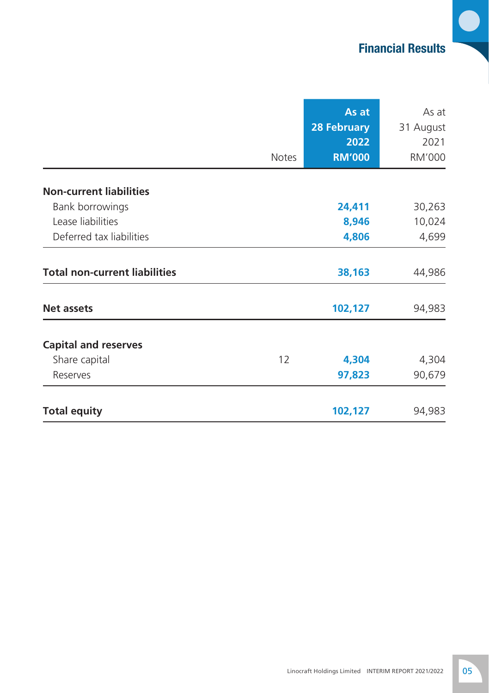# Financial Results

 $\bullet$ 

|                                      |              | As at              | As at     |
|--------------------------------------|--------------|--------------------|-----------|
|                                      |              | <b>28 February</b> | 31 August |
|                                      |              | 2022               | 2021      |
|                                      | <b>Notes</b> | <b>RM'000</b>      | RM'000    |
| <b>Non-current liabilities</b>       |              |                    |           |
| Bank borrowings                      |              | 24,411             | 30,263    |
| Lease liabilities                    |              | 8,946              | 10,024    |
| Deferred tax liabilities             |              | 4,806              | 4,699     |
| <b>Total non-current liabilities</b> |              | 38,163             | 44,986    |
| <b>Net assets</b>                    |              | 102,127            | 94,983    |
| <b>Capital and reserves</b>          |              |                    |           |
| Share capital                        | 12           | 4,304              | 4,304     |
| Reserves                             |              | 97,823             | 90,679    |
| <b>Total equity</b>                  |              | 102,127            | 94,983    |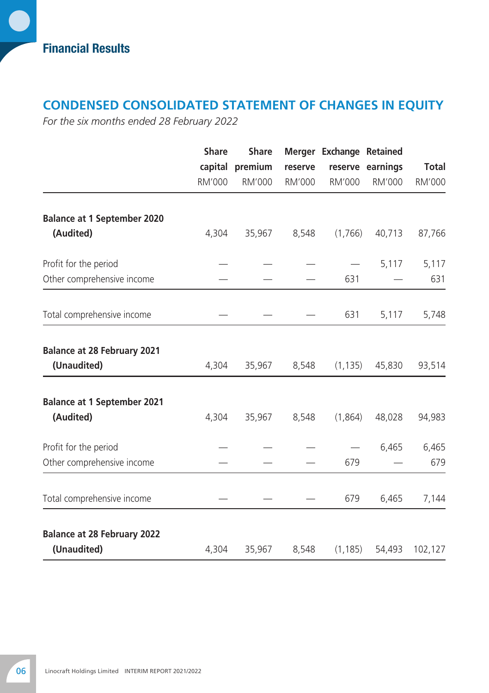Financial Results

# **Condensed Consolidated Statement of Changes in Equity**

*For the six months ended 28 February 2022*

|                                                   | <b>Share</b> | <b>Share</b>    |         | Merger Exchange Retained |                  |         |
|---------------------------------------------------|--------------|-----------------|---------|--------------------------|------------------|---------|
|                                                   |              | capital premium | reserve |                          | reserve earnings | Total   |
|                                                   | RM'000       | <b>RM'000</b>   | RM'000  | <b>RM'000</b>            | RM'000           | RM'000  |
| <b>Balance at 1 September 2020</b>                |              |                 |         |                          |                  |         |
| (Audited)                                         | 4,304        | 35,967          | 8,548   | (1,766)                  | 40,713           | 87,766  |
| Profit for the period                             |              |                 |         |                          | 5,117            | 5,117   |
| Other comprehensive income                        |              |                 |         | 631                      |                  | 631     |
| Total comprehensive income                        |              |                 |         | 631                      | 5,117            | 5,748   |
| <b>Balance at 28 February 2021</b>                |              |                 |         |                          |                  |         |
| (Unaudited)                                       | 4,304        | 35,967          | 8,548   | (1, 135)                 | 45,830           | 93,514  |
| <b>Balance at 1 September 2021</b>                |              |                 |         |                          |                  |         |
| (Audited)                                         | 4,304        | 35,967          | 8,548   | (1,864)                  | 48,028           | 94,983  |
| Profit for the period                             |              |                 |         |                          | 6,465            | 6,465   |
| Other comprehensive income                        |              |                 |         | 679                      |                  | 679     |
| Total comprehensive income                        |              |                 |         | 679                      | 6,465            | 7,144   |
| <b>Balance at 28 February 2022</b><br>(Unaudited) | 4,304        | 35,967          | 8,548   | (1, 185)                 | 54,493           | 102,127 |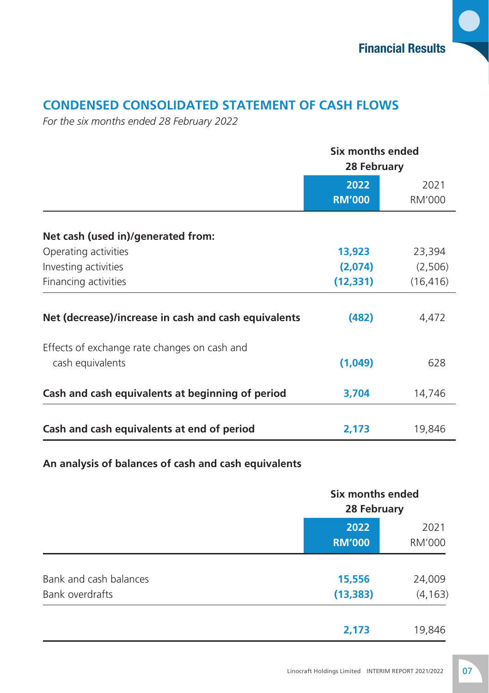# **Condensed Consolidated Statement of Cash Flows**

*For the six months ended 28 February 2022*

|                                                      | Six months ended<br>28 February |                       |  |
|------------------------------------------------------|---------------------------------|-----------------------|--|
|                                                      | 2022<br><b>RM'000</b>           | 2021<br><b>RM'000</b> |  |
| Net cash (used in)/generated from:                   |                                 |                       |  |
| Operating activities                                 | 13,923                          | 23,394                |  |
| Investing activities                                 | (2,074)                         | (2,506)               |  |
| Financing activities                                 | (12, 331)                       | (16, 416)             |  |
| Net (decrease)/increase in cash and cash equivalents | (482)                           | 4,472                 |  |
| Effects of exchange rate changes on cash and         |                                 |                       |  |
| cash equivalents                                     | (1,049)                         | 628                   |  |
| Cash and cash equivalents at beginning of period     | 3,704                           | 14,746                |  |
| Cash and cash equivalents at end of period           | 2,173                           | 19,846                |  |

#### **An analysis of balances of cash and cash equivalents**

|                                           |                       | Six months ended<br>28 February |  |  |
|-------------------------------------------|-----------------------|---------------------------------|--|--|
|                                           | 2022<br><b>RM'000</b> | 2021<br>RM'000                  |  |  |
| Bank and cash balances<br>Bank overdrafts | 15,556<br>(13, 383)   | 24,009<br>(4, 163)              |  |  |
|                                           | 2,173                 | 19,846                          |  |  |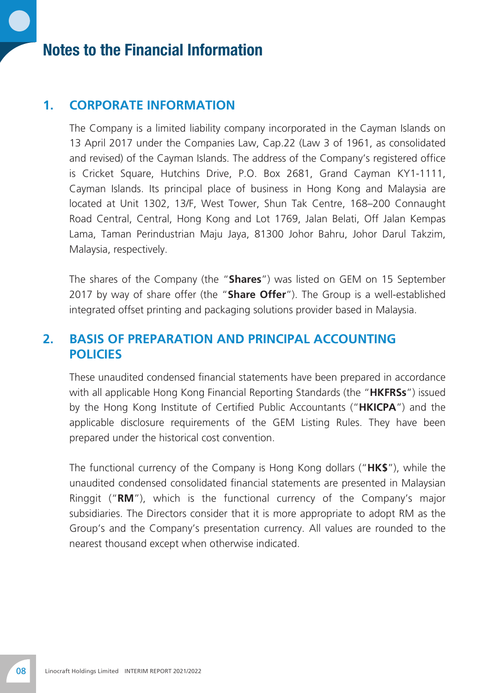# Notes to the Financial Information

#### **1. CORPORATE INFORMATION**

The Company is a limited liability company incorporated in the Cayman Islands on 13 April 2017 under the Companies Law, Cap.22 (Law 3 of 1961, as consolidated and revised) of the Cayman Islands. The address of the Company's registered office is Cricket Square, Hutchins Drive, P.O. Box 2681, Grand Cayman KY1-1111, Cayman Islands. Its principal place of business in Hong Kong and Malaysia are located at Unit 1302, 13/F, West Tower, Shun Tak Centre, 168–200 Connaught Road Central, Central, Hong Kong and Lot 1769, Jalan Belati, Off Jalan Kempas Lama, Taman Perindustrian Maju Jaya, 81300 Johor Bahru, Johor Darul Takzim, Malaysia, respectively.

The shares of the Company (the "**Shares**") was listed on GEM on 15 September 2017 by way of share offer (the "**Share Offer**"). The Group is a well-established integrated offset printing and packaging solutions provider based in Malaysia.

#### **2. BASIS OF PREPARATION AND PRINCIPAL ACCOUNTING POLICIES**

These unaudited condensed financial statements have been prepared in accordance with all applicable Hong Kong Financial Reporting Standards (the "**HKFRSs**") issued by the Hong Kong Institute of Certified Public Accountants ("**HKICPA**") and the applicable disclosure requirements of the GEM Listing Rules. They have been prepared under the historical cost convention.

The functional currency of the Company is Hong Kong dollars ("**HK\$**"), while the unaudited condensed consolidated financial statements are presented in Malaysian Ringgit ("**RM**"), which is the functional currency of the Company's major subsidiaries. The Directors consider that it is more appropriate to adopt RM as the Group's and the Company's presentation currency. All values are rounded to the nearest thousand except when otherwise indicated.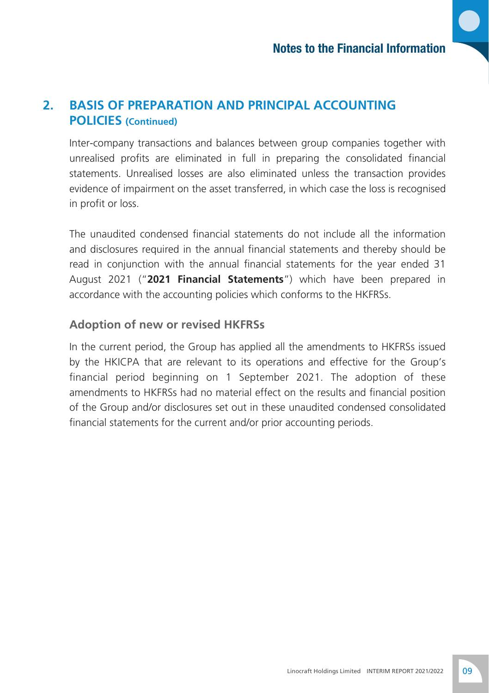# **2. BASIS OF PREPARATION AND PRINCIPAL ACCOUNTING POLICIES (Continued)**

Inter-company transactions and balances between group companies together with unrealised profits are eliminated in full in preparing the consolidated financial statements. Unrealised losses are also eliminated unless the transaction provides evidence of impairment on the asset transferred, in which case the loss is recognised in profit or loss.

The unaudited condensed financial statements do not include all the information and disclosures required in the annual financial statements and thereby should be read in conjunction with the annual financial statements for the year ended 31 August 2021 ("**2021 Financial Statements**") which have been prepared in accordance with the accounting policies which conforms to the HKFRSs.

# **Adoption of new or revised HKFRSs**

In the current period, the Group has applied all the amendments to HKFRSs issued by the HKICPA that are relevant to its operations and effective for the Group's financial period beginning on 1 September 2021. The adoption of these amendments to HKFRSs had no material effect on the results and financial position of the Group and/or disclosures set out in these unaudited condensed consolidated financial statements for the current and/or prior accounting periods.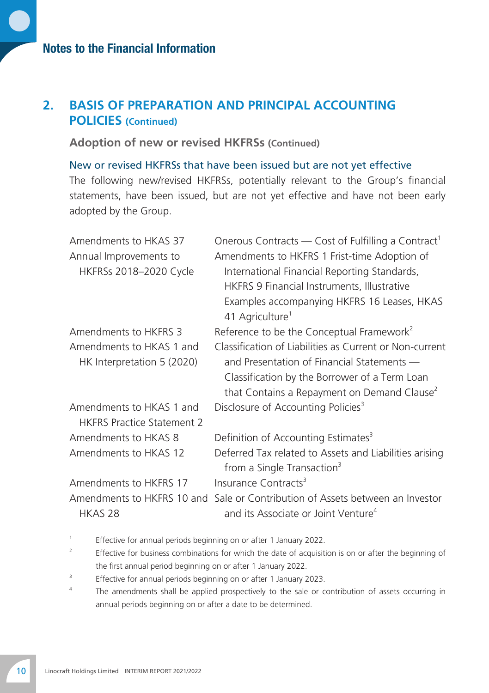#### **2. BASIS OF PREPARATION AND PRINCIPAL ACCOUNTING POLICIES (Continued)**

**Adoption of new or revised HKFRSs (Continued)**

New or revised HKFRSs that have been issued but are not yet effective The following new/revised HKFRSs, potentially relevant to the Group's financial statements, have been issued, but are not yet effective and have not been early adopted by the Group.

| Amendments to HKAS 37             | Onerous Contracts — Cost of Fulfilling a Contract <sup>1</sup>             |
|-----------------------------------|----------------------------------------------------------------------------|
| Annual Improvements to            | Amendments to HKFRS 1 Frist-time Adoption of                               |
| HKFRSs 2018-2020 Cycle            | International Financial Reporting Standards,                               |
|                                   | HKFRS 9 Financial Instruments, Illustrative                                |
|                                   | Examples accompanying HKFRS 16 Leases, HKAS<br>41 Agriculture <sup>1</sup> |
| Amendments to HKFRS 3             | Reference to be the Conceptual Framework <sup>2</sup>                      |
| Amendments to HKAS 1 and          | Classification of Liabilities as Current or Non-current                    |
| HK Interpretation 5 (2020)        | and Presentation of Financial Statements —                                 |
|                                   | Classification by the Borrower of a Term Loan                              |
|                                   | that Contains a Repayment on Demand Clause <sup>2</sup>                    |
| Amendments to HKAS 1 and          | Disclosure of Accounting Policies <sup>3</sup>                             |
| <b>HKFRS Practice Statement 2</b> |                                                                            |
| Amendments to HKAS 8              | Definition of Accounting Estimates <sup>3</sup>                            |
| Amendments to HKAS 12             | Deferred Tax related to Assets and Liabilities arising                     |
|                                   | from a Single Transaction <sup>3</sup>                                     |
| Amendments to HKFRS 17            | Insurance Contracts <sup>3</sup>                                           |
| Amendments to HKFRS 10 and        | Sale or Contribution of Assets between an Investor                         |
| HKAS <sub>28</sub>                | and its Associate or Joint Venture <sup>4</sup>                            |

- 1 Effective for annual periods beginning on or after 1 January 2022.
- <sup>2</sup> Effective for business combinations for which the date of acquisition is on or after the beginning of the first annual period beginning on or after 1 January 2022.
- 3 Effective for annual periods beginning on or after 1 January 2023.
- <sup>4</sup> The amendments shall be applied prospectively to the sale or contribution of assets occurring in annual periods beginning on or after a date to be determined.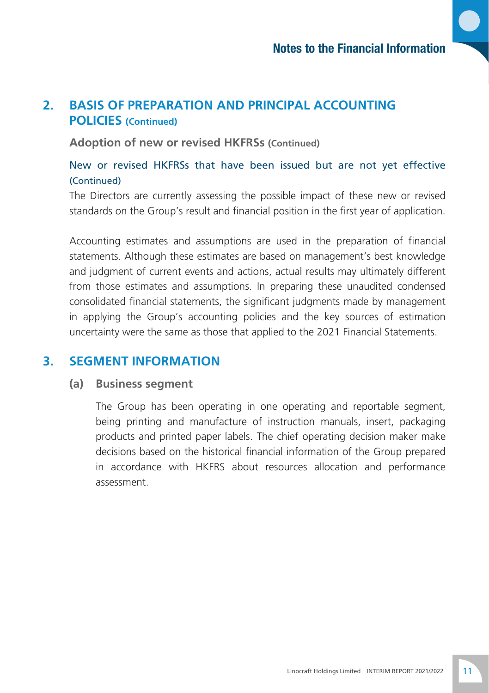#### **2. BASIS OF PREPARATION AND PRINCIPAL ACCOUNTING POLICIES (Continued)**

**Adoption of new or revised HKFRSs (Continued)**

#### New or revised HKFRSs that have been issued but are not yet effective (Continued)

The Directors are currently assessing the possible impact of these new or revised standards on the Group's result and financial position in the first year of application.

Accounting estimates and assumptions are used in the preparation of financial statements. Although these estimates are based on management's best knowledge and judgment of current events and actions, actual results may ultimately different from those estimates and assumptions. In preparing these unaudited condensed consolidated financial statements, the significant judgments made by management in applying the Group's accounting policies and the key sources of estimation uncertainty were the same as those that applied to the 2021 Financial Statements.

#### **3. SEGMENT INFORMATION**

#### **(a) Business segment**

The Group has been operating in one operating and reportable segment, being printing and manufacture of instruction manuals, insert, packaging products and printed paper labels. The chief operating decision maker make decisions based on the historical financial information of the Group prepared in accordance with HKFRS about resources allocation and performance assessment.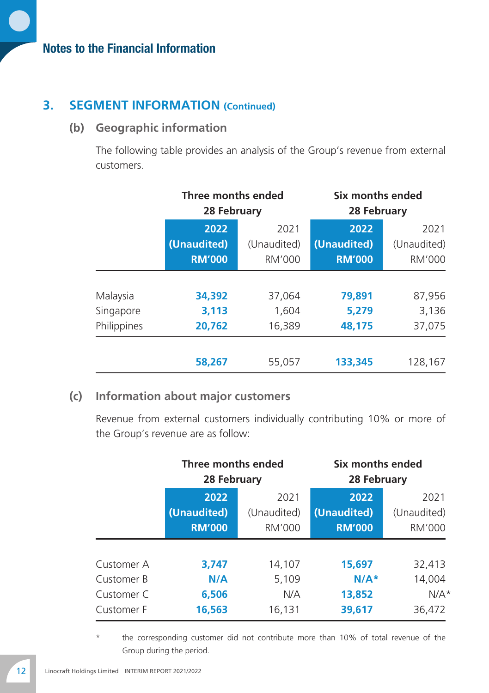#### **3. SEGMENT INFORMATION (Continued)**

#### **(b) Geographic information**

The following table provides an analysis of the Group's revenue from external customers.

|             |               | Three months ended<br>28 February |               | Six months ended<br>28 February |
|-------------|---------------|-----------------------------------|---------------|---------------------------------|
|             | 2022          | 2021                              | 2022          | 2021                            |
|             | (Unaudited)   | (Unaudited)                       | (Unaudited)   | (Unaudited)                     |
|             | <b>RM'000</b> | RM'000                            | <b>RM'000</b> | RM'000                          |
| Malaysia    | 34,392        | 37.064                            | 79,891        | 87,956                          |
| Singapore   | 3,113         | 1.604                             | 5.279         | 3,136                           |
| Philippines | 20.762        | 16,389                            | 48.175        | 37.075                          |
|             | 58,267        | 55,057                            | 133,345       | 128,167                         |

#### **(c) Information about major customers**

Revenue from external customers individually contributing 10% or more of the Group's revenue are as follow:

|            | Three months ended<br>28 February |             | Six months ended<br>28 February |             |
|------------|-----------------------------------|-------------|---------------------------------|-------------|
|            | 2022                              | 2021        | 2022                            | 2021        |
|            | (Unaudited)                       | (Unaudited) | (Unaudited)                     | (Unaudited) |
|            | <b>RM'000</b>                     | RM'000      | <b>RM'000</b>                   | RM'000      |
| Customer A | 3,747                             | 14,107      | 15,697                          | 32,413      |
| Customer B | N/A                               | 5,109       | $N/A*$                          | 14,004      |
| Customer C | 6,506                             | N/A         | 13,852                          | $N/A*$      |
| Customer F | 16,563                            | 16,131      | 39,617                          | 36,472      |

the corresponding customer did not contribute more than 10% of total revenue of the Group during the period.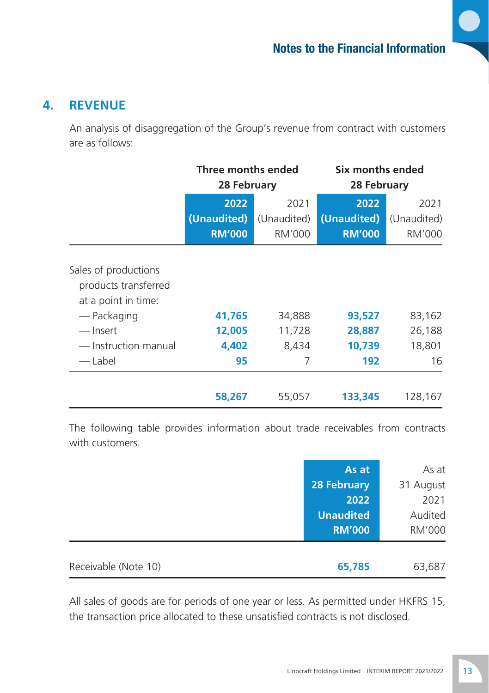#### **4. REVENUE**

An analysis of disaggregation of the Group's revenue from contract with customers are as follows:

|                                                                     | Three months ended<br>28 February    |                                      | Six months ended<br>28 February      |                               |
|---------------------------------------------------------------------|--------------------------------------|--------------------------------------|--------------------------------------|-------------------------------|
|                                                                     | 2022<br>(Unaudited)<br><b>RM'000</b> | 2021<br>(Unaudited)<br><b>RM'000</b> | 2022<br>(Unaudited)<br><b>RM'000</b> | 2021<br>(Unaudited)<br>RM'000 |
| Sales of productions<br>products transferred<br>at a point in time: |                                      |                                      |                                      |                               |
| — Packaging                                                         | 41,765                               | 34,888                               | 93,527                               | 83,162                        |
| — Insert                                                            | 12,005                               | 11,728                               | 28,887                               | 26,188                        |
| — Instruction manual                                                | 4,402                                | 8,434                                | 10,739                               | 18,801                        |
| — Label                                                             | 95                                   | 7                                    | 192                                  | 16                            |
|                                                                     | 58,267                               | 55,057                               | 133,345                              | 128,167                       |

The following table provides information about trade receivables from contracts with customers.

|                      | As at            | As at         |
|----------------------|------------------|---------------|
|                      | 28 February      | 31 August     |
|                      | 2022             | 2021          |
|                      | <b>Unaudited</b> | Audited       |
|                      | <b>RM'000</b>    | <b>RM'000</b> |
|                      |                  |               |
| Receivable (Note 10) | 65,785           | 63,687        |

All sales of goods are for periods of one year or less. As permitted under HKFRS 15, the transaction price allocated to these unsatisfied contracts is not disclosed.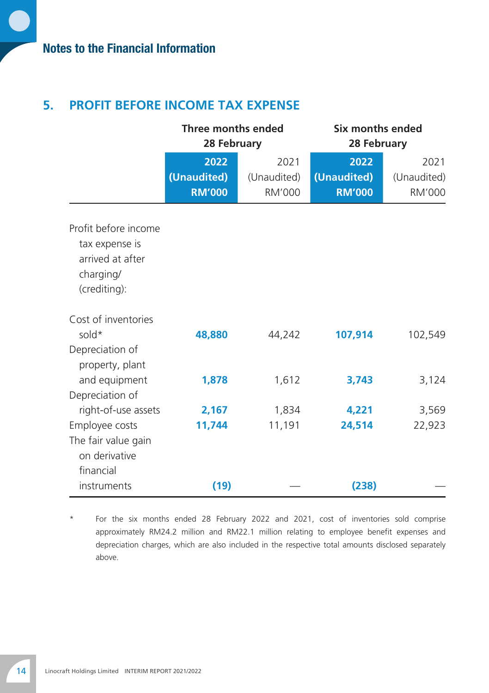# **5. PROFIT BEFORE INCOME TAX EXPENSE**

|                                                                                         | Three months ended<br>28 February |                     | Six months ended<br>28 February |                     |
|-----------------------------------------------------------------------------------------|-----------------------------------|---------------------|---------------------------------|---------------------|
|                                                                                         | 2022<br>(Unaudited)               | 2021<br>(Unaudited) | 2022<br>(Unaudited)             | 2021<br>(Unaudited) |
|                                                                                         | <b>RM'000</b>                     | <b>RM'000</b>       | <b>RM'000</b>                   | <b>RM'000</b>       |
| Profit before income<br>tax expense is<br>arrived at after<br>charging/<br>(crediting): |                                   |                     |                                 |                     |
| Cost of inventories<br>sold $*$<br>Depreciation of<br>property, plant                   | 48,880                            | 44,242              | 107,914                         | 102,549             |
| and equipment<br>Depreciation of                                                        | 1,878                             | 1,612               | 3,743                           | 3,124               |
| right-of-use assets<br>Employee costs                                                   | 2,167<br>11,744                   | 1,834<br>11,191     | 4,221<br>24,514                 | 3,569<br>22,923     |
| The fair value gain<br>on derivative<br>financial                                       |                                   |                     |                                 |                     |
| instruments                                                                             | (19)                              |                     | (238)                           |                     |

For the six months ended 28 February 2022 and 2021, cost of inventories sold comprise approximately RM24.2 million and RM22.1 million relating to employee benefit expenses and depreciation charges, which are also included in the respective total amounts disclosed separately above.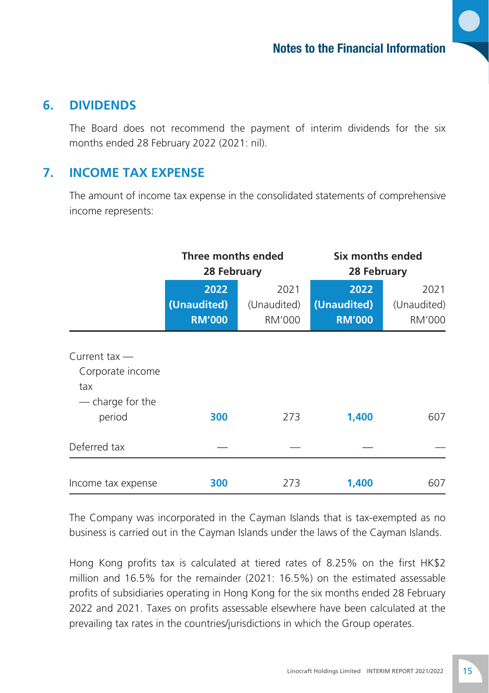#### **6. DIVIDENDS**

The Board does not recommend the payment of interim dividends for the six months ended 28 February 2022 (2021: nil).

#### **7. INCOME TAX EXPENSE**

The amount of income tax expense in the consolidated statements of comprehensive income represents:

|                                                                | Three months ended<br>28 February    |                               | Six months ended<br>28 February      |                                      |
|----------------------------------------------------------------|--------------------------------------|-------------------------------|--------------------------------------|--------------------------------------|
|                                                                | 2022<br>(Unaudited)<br><b>RM'000</b> | 2021<br>(Unaudited)<br>RM'000 | 2022<br>(Unaudited)<br><b>RM'000</b> | 2021<br>(Unaudited)<br><b>RM'000</b> |
| Current tax $-$<br>Corporate income<br>tax<br>— charge for the |                                      |                               |                                      |                                      |
| period                                                         | 300                                  | 273                           | 1,400                                | 607                                  |
| Deferred tax                                                   |                                      |                               |                                      |                                      |
| Income tax expense                                             | 300                                  | 273                           | 1,400                                | 607                                  |

The Company was incorporated in the Cayman Islands that is tax-exempted as no business is carried out in the Cayman Islands under the laws of the Cayman Islands.

Hong Kong profits tax is calculated at tiered rates of 8.25% on the first HK\$2 million and 16.5% for the remainder (2021: 16.5%) on the estimated assessable profits of subsidiaries operating in Hong Kong for the six months ended 28 February 2022 and 2021. Taxes on profits assessable elsewhere have been calculated at the prevailing tax rates in the countries/jurisdictions in which the Group operates.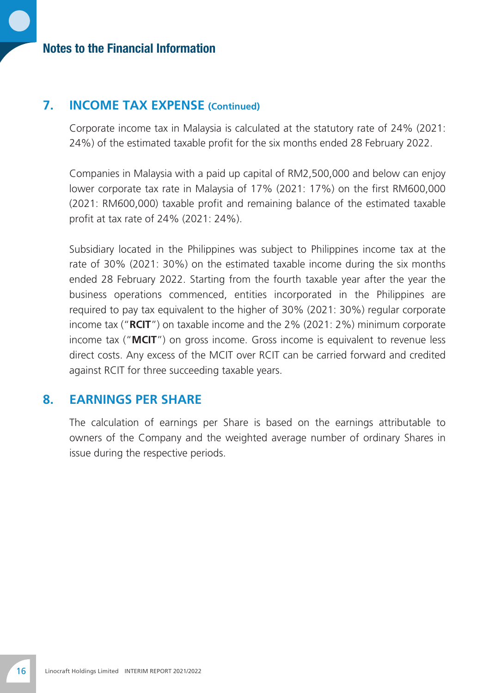#### Notes to the Financial Information

#### **7. INCOME TAX EXPENSE (Continued)**

Corporate income tax in Malaysia is calculated at the statutory rate of 24% (2021: 24%) of the estimated taxable profit for the six months ended 28 February 2022.

Companies in Malaysia with a paid up capital of RM2,500,000 and below can enjoy lower corporate tax rate in Malaysia of 17% (2021: 17%) on the first RM600,000 (2021: RM600,000) taxable profit and remaining balance of the estimated taxable profit at tax rate of 24% (2021: 24%).

Subsidiary located in the Philippines was subject to Philippines income tax at the rate of 30% (2021: 30%) on the estimated taxable income during the six months ended 28 February 2022. Starting from the fourth taxable year after the year the business operations commenced, entities incorporated in the Philippines are required to pay tax equivalent to the higher of 30% (2021: 30%) regular corporate income tax ("**RCIT**") on taxable income and the 2% (2021: 2%) minimum corporate income tax ("**MCIT**") on gross income. Gross income is equivalent to revenue less direct costs. Any excess of the MCIT over RCIT can be carried forward and credited against RCIT for three succeeding taxable years.

#### **8. EARNINGS PER SHARE**

The calculation of earnings per Share is based on the earnings attributable to owners of the Company and the weighted average number of ordinary Shares in issue during the respective periods.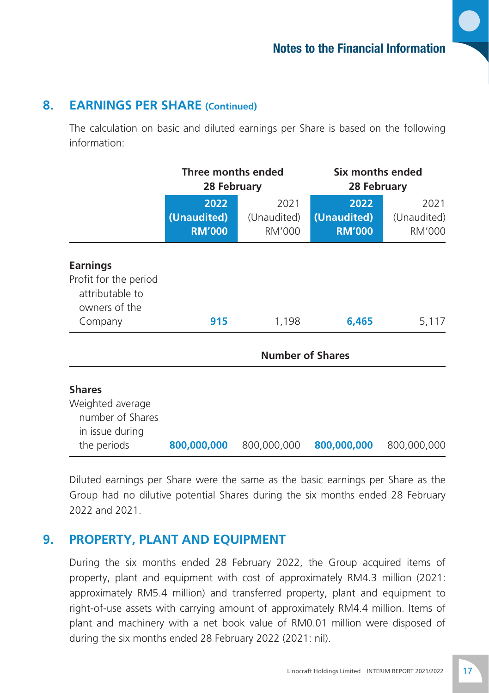#### **8. EARNINGS PER SHARE (Continued)**

The calculation on basic and diluted earnings per Share is based on the following information:

|                                                                                         | Three months ended<br>28 February    |                               |                                      |                               | Six months ended<br>28 February |  |
|-----------------------------------------------------------------------------------------|--------------------------------------|-------------------------------|--------------------------------------|-------------------------------|---------------------------------|--|
|                                                                                         | 2022<br>(Unaudited)<br><b>RM'000</b> | 2021<br>(Unaudited)<br>RM'000 | 2022<br>(Unaudited)<br><b>RM'000</b> | 2021<br>(Unaudited)<br>RM'000 |                                 |  |
| <b>Earnings</b><br>Profit for the period<br>attributable to<br>owners of the            |                                      |                               |                                      |                               |                                 |  |
| Company                                                                                 | 915                                  | 1,198                         | 6,465                                | 5,117                         |                                 |  |
|                                                                                         |                                      | <b>Number of Shares</b>       |                                      |                               |                                 |  |
| <b>Shares</b><br>Weighted average<br>number of Shares<br>in issue during<br>the periods | 800,000,000                          | 800,000,000                   | 800,000,000                          | 800,000,000                   |                                 |  |

Diluted earnings per Share were the same as the basic earnings per Share as the Group had no dilutive potential Shares during the six months ended 28 February 2022 and 2021.

#### **9. PROPERTY, PLANT AND EQUIPMENT**

During the six months ended 28 February 2022, the Group acquired items of property, plant and equipment with cost of approximately RM4.3 million (2021: approximately RM5.4 million) and transferred property, plant and equipment to right-of-use assets with carrying amount of approximately RM4.4 million. Items of plant and machinery with a net book value of RM0.01 million were disposed of during the six months ended 28 February 2022 (2021: nil).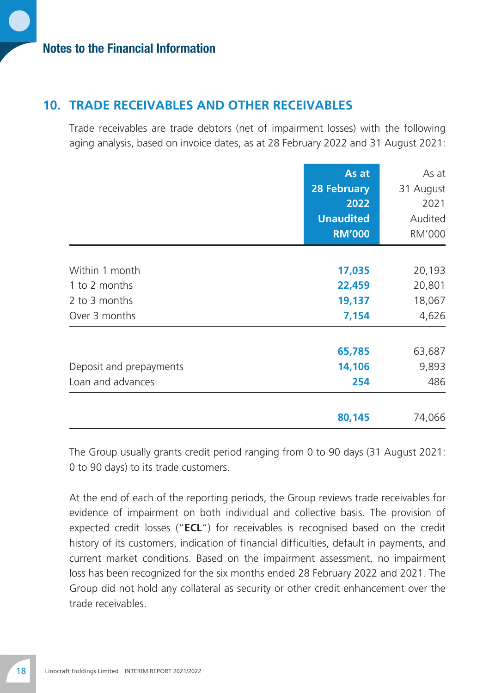#### **10. TRADE RECEIVABLES AND OTHER RECEIVABLES**

Trade receivables are trade debtors (net of impairment losses) with the following aging analysis, based on invoice dates, as at 28 February 2022 and 31 August 2021:

|                         | As at              | As at         |
|-------------------------|--------------------|---------------|
|                         | <b>28 February</b> | 31 August     |
|                         | 2022               | 2021          |
|                         | <b>Unaudited</b>   | Audited       |
|                         | <b>RM'000</b>      | <b>RM'000</b> |
|                         |                    |               |
| Within 1 month          | 17,035             | 20,193        |
| 1 to 2 months           | 22,459             | 20,801        |
| 2 to 3 months           | 19,137             | 18,067        |
| Over 3 months           | 7,154              | 4,626         |
|                         | 65,785             | 63,687        |
| Deposit and prepayments | 14,106             | 9,893         |
| Loan and advances       | 254                | 486           |
|                         | 80,145             | 74,066        |

The Group usually grants credit period ranging from 0 to 90 days (31 August 2021: 0 to 90 days) to its trade customers.

At the end of each of the reporting periods, the Group reviews trade receivables for evidence of impairment on both individual and collective basis. The provision of expected credit losses ("**ECL**") for receivables is recognised based on the credit history of its customers, indication of financial difficulties, default in payments, and current market conditions. Based on the impairment assessment, no impairment loss has been recognized for the six months ended 28 February 2022 and 2021. The Group did not hold any collateral as security or other credit enhancement over the trade receivables.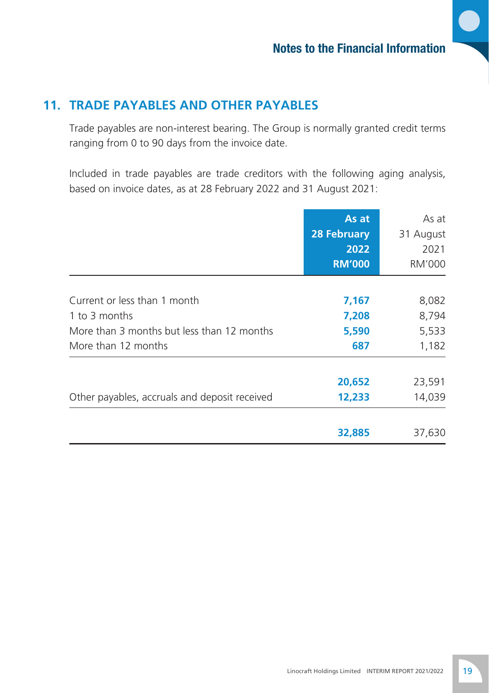# **11. TRADE PAYABLES AND OTHER PAYABLES**

Trade payables are non-interest bearing. The Group is normally granted credit terms ranging from 0 to 90 days from the invoice date.

Included in trade payables are trade creditors with the following aging analysis, based on invoice dates, as at 28 February 2022 and 31 August 2021:

|                                               | As at<br><b>28 February</b><br>2022<br><b>RM'000</b> | As at<br>31 August<br>2021<br>RM'000 |
|-----------------------------------------------|------------------------------------------------------|--------------------------------------|
|                                               |                                                      |                                      |
| Current or less than 1 month                  | 7,167                                                | 8,082                                |
| 1 to 3 months                                 | 7,208                                                | 8,794                                |
| More than 3 months but less than 12 months    | 5,590                                                | 5,533                                |
| More than 12 months                           | 687                                                  | 1,182                                |
|                                               | 20,652                                               | 23,591                               |
| Other payables, accruals and deposit received | 12,233                                               | 14,039                               |
|                                               | 32,885                                               | 37,630                               |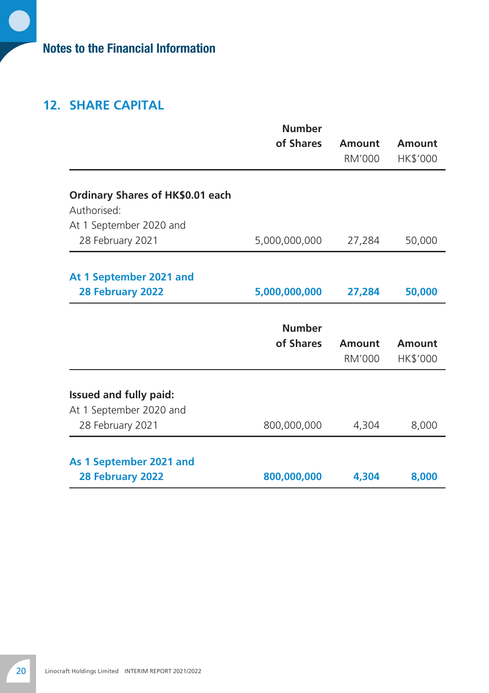# Notes to the Financial Information

# **12. SHARE CAPITAL**

|                                                 | <b>Number</b> |        |          |
|-------------------------------------------------|---------------|--------|----------|
|                                                 | of Shares     | Amount | Amount   |
|                                                 |               | RM'000 | HK\$'000 |
|                                                 |               |        |          |
| Ordinary Shares of HK\$0.01 each<br>Authorised: |               |        |          |
| At 1 September 2020 and                         |               |        |          |
| 28 February 2021                                | 5,000,000,000 | 27,284 | 50,000   |
|                                                 |               |        |          |
| At 1 September 2021 and                         |               |        |          |
| 28 February 2022                                | 5,000,000,000 | 27,284 | 50,000   |
|                                                 |               |        |          |
|                                                 | <b>Number</b> |        |          |
|                                                 | of Shares     | Amount | Amount   |
|                                                 |               |        |          |
|                                                 |               | RM'000 | HK\$'000 |
|                                                 |               |        |          |
| Issued and fully paid:                          |               |        |          |
| At 1 September 2020 and                         |               |        |          |
| 28 February 2021                                | 800,000,000   | 4,304  | 8,000    |
| As 1 September 2021 and                         |               |        |          |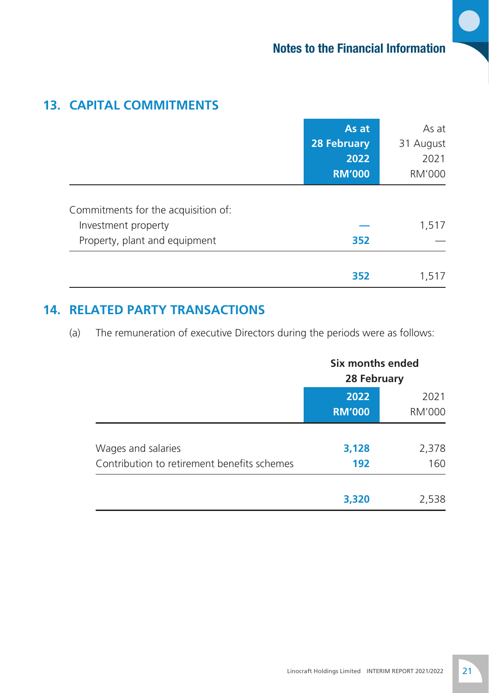# **13. Capital Commitments**

|                                     | As at              | As at     |
|-------------------------------------|--------------------|-----------|
|                                     | <b>28 February</b> | 31 August |
|                                     | 2022               | 2021      |
|                                     | <b>RM'000</b>      | RM'000    |
| Commitments for the acquisition of: |                    |           |
| Investment property                 |                    | 1,517     |
| Property, plant and equipment       | 352                |           |
|                                     | 352                | 1.517     |

# **14. RELATED PARTY TRANSACTIONS**

(a) The remuneration of executive Directors during the periods were as follows:

|                                                                   | Six months ended<br>28 February |                |
|-------------------------------------------------------------------|---------------------------------|----------------|
|                                                                   | 2022<br><b>RM'000</b>           | 2021<br>RM'000 |
| Wages and salaries<br>Contribution to retirement benefits schemes | 3,128<br>192                    | 2,378<br>160   |
|                                                                   | 3,320                           | 2,538          |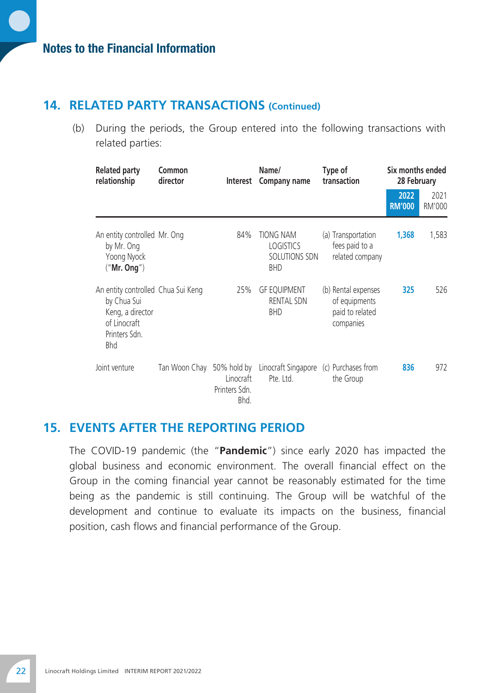#### **14. RELATED PARTY TRANSACTIONS (Continued)**

(b) During the periods, the Group entered into the following transactions with related parties:

| <b>Related party</b><br>relationship                                                                          | Common<br>director | Interest                                          | Name/<br>Company name                                        | Type of<br>transaction                                               | Six months ended<br>28 February |                |
|---------------------------------------------------------------------------------------------------------------|--------------------|---------------------------------------------------|--------------------------------------------------------------|----------------------------------------------------------------------|---------------------------------|----------------|
|                                                                                                               |                    |                                                   |                                                              |                                                                      | 2022<br><b>RM'000</b>           | 2021<br>RM'000 |
| An entity controlled Mr. Ong<br>by Mr. Ong<br>Yoong Nyock<br>("Mr. Onq")                                      |                    | 84%                                               | TIONG NAM<br><b>LOGISTICS</b><br>SOLUTIONS SDN<br><b>BHD</b> | (a) Transportation<br>fees paid to a<br>related company              | 1,368                           | 1,583          |
| An entity controlled Chua Sui Keng<br>by Chua Sui<br>Keng, a director<br>of Linocraft<br>Printers Sdn.<br>Bhd |                    | 25%                                               | <b>GF EQUIPMENT</b><br><b>RENTAL SDN</b><br><b>BHD</b>       | (b) Rental expenses<br>of equipments<br>paid to related<br>companies | 325                             | 526            |
| Joint venture                                                                                                 | Tan Woon Chay      | 50% hold by<br>Linocraft<br>Printers Sdn.<br>Bhd. | Linocraft Singapore (c) Purchases from<br>Pte. Ltd.          | the Group                                                            | 836                             | 972            |

#### **15. EVENTS AFTER THE REPORTING PERIOD**

The COVID-19 pandemic (the "**Pandemic**") since early 2020 has impacted the global business and economic environment. The overall financial effect on the Group in the coming financial year cannot be reasonably estimated for the time being as the pandemic is still continuing. The Group will be watchful of the development and continue to evaluate its impacts on the business, financial position, cash flows and financial performance of the Group.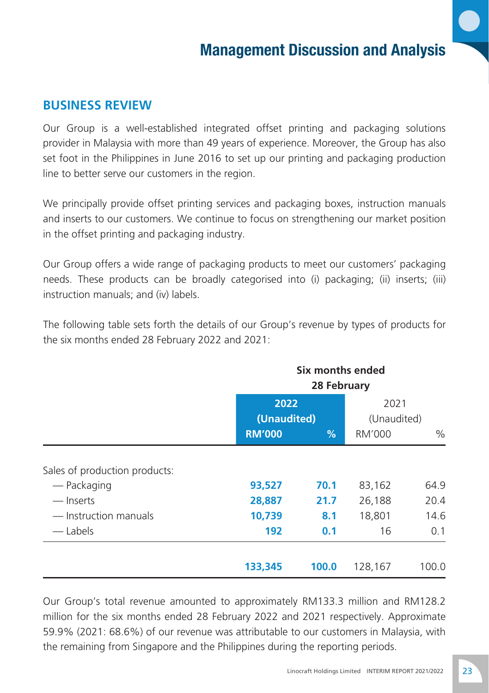#### **BUSINESS REVIEW**

Our Group is a well-established integrated offset printing and packaging solutions provider in Malaysia with more than 49 years of experience. Moreover, the Group has also set foot in the Philippines in June 2016 to set up our printing and packaging production line to better serve our customers in the region.

We principally provide offset printing services and packaging boxes, instruction manuals and inserts to our customers. We continue to focus on strengthening our market position in the offset printing and packaging industry.

Our Group offers a wide range of packaging products to meet our customers' packaging needs. These products can be broadly categorised into (i) packaging; (ii) inserts; (iii) instruction manuals; and (iv) labels.

The following table sets forth the details of our Group's revenue by types of products for the six months ended 28 February 2022 and 2021:

|                               | Six months ended<br>28 February |       |                     |       |
|-------------------------------|---------------------------------|-------|---------------------|-------|
|                               | 2022<br>(Unaudited)             |       | 2021<br>(Unaudited) |       |
|                               | <b>RM'000</b>                   | %     | <b>RM'000</b>       | $\%$  |
| Sales of production products: |                                 |       |                     |       |
| — Packaging                   | 93,527                          | 70.1  | 83,162              | 64.9  |
| — Inserts                     | 28,887                          | 21.7  | 26,188              | 20.4  |
| — Instruction manuals         | 10,739                          | 8.1   | 18,801              | 14.6  |
| — Labels                      | 192                             | 0.1   | 16                  | 0.1   |
|                               | 133,345                         | 100.0 | 128,167             | 100.0 |

Our Group's total revenue amounted to approximately RM133.3 million and RM128.2 million for the six months ended 28 February 2022 and 2021 respectively. Approximate 59.9% (2021: 68.6%) of our revenue was attributable to our customers in Malaysia, with the remaining from Singapore and the Philippines during the reporting periods.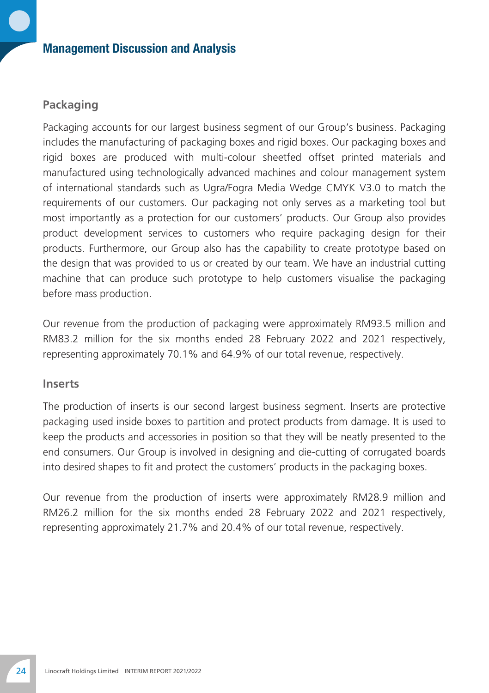#### **Packaging**

Packaging accounts for our largest business segment of our Group's business. Packaging includes the manufacturing of packaging boxes and rigid boxes. Our packaging boxes and rigid boxes are produced with multi-colour sheetfed offset printed materials and manufactured using technologically advanced machines and colour management system of international standards such as Ugra/Fogra Media Wedge CMYK V3.0 to match the requirements of our customers. Our packaging not only serves as a marketing tool but most importantly as a protection for our customers' products. Our Group also provides product development services to customers who require packaging design for their products. Furthermore, our Group also has the capability to create prototype based on the design that was provided to us or created by our team. We have an industrial cutting machine that can produce such prototype to help customers visualise the packaging before mass production.

Our revenue from the production of packaging were approximately RM93.5 million and RM83.2 million for the six months ended 28 February 2022 and 2021 respectively, representing approximately 70.1% and 64.9% of our total revenue, respectively.

#### **Inserts**

The production of inserts is our second largest business segment. Inserts are protective packaging used inside boxes to partition and protect products from damage. It is used to keep the products and accessories in position so that they will be neatly presented to the end consumers. Our Group is involved in designing and die-cutting of corrugated boards into desired shapes to fit and protect the customers' products in the packaging boxes.

Our revenue from the production of inserts were approximately RM28.9 million and RM26.2 million for the six months ended 28 February 2022 and 2021 respectively, representing approximately 21.7% and 20.4% of our total revenue, respectively.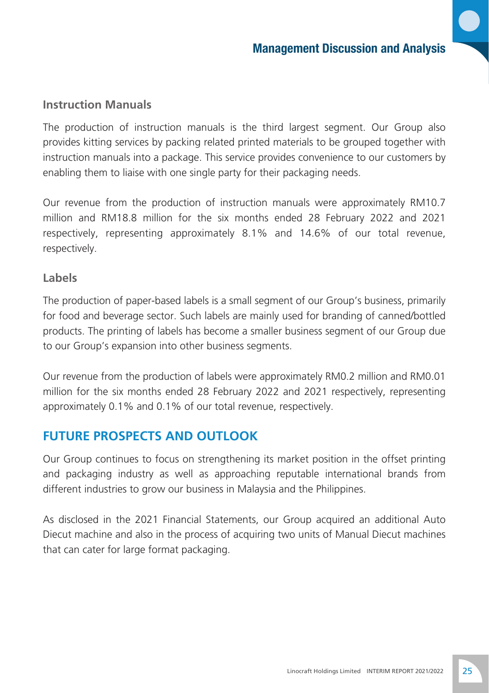#### **Instruction Manuals**

The production of instruction manuals is the third largest segment. Our Group also provides kitting services by packing related printed materials to be grouped together with instruction manuals into a package. This service provides convenience to our customers by enabling them to liaise with one single party for their packaging needs.

Our revenue from the production of instruction manuals were approximately RM10.7 million and RM18.8 million for the six months ended 28 February 2022 and 2021 respectively, representing approximately 8.1% and 14.6% of our total revenue, respectively.

#### **Labels**

The production of paper-based labels is a small segment of our Group's business, primarily for food and beverage sector. Such labels are mainly used for branding of canned/bottled products. The printing of labels has become a smaller business segment of our Group due to our Group's expansion into other business segments.

Our revenue from the production of labels were approximately RM0.2 million and RM0.01 million for the six months ended 28 February 2022 and 2021 respectively, representing approximately 0.1% and 0.1% of our total revenue, respectively.

#### **FUTURE PROSPECTS AND OUTLOOK**

Our Group continues to focus on strengthening its market position in the offset printing and packaging industry as well as approaching reputable international brands from different industries to grow our business in Malaysia and the Philippines.

As disclosed in the 2021 Financial Statements, our Group acquired an additional Auto Diecut machine and also in the process of acquiring two units of Manual Diecut machines that can cater for large format packaging.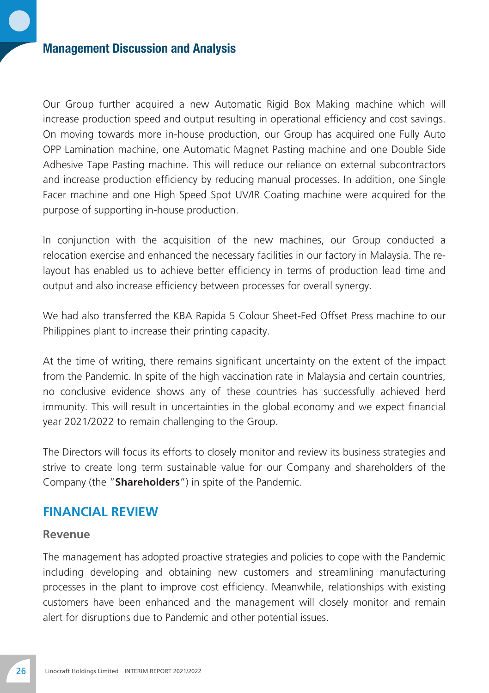Our Group further acquired a new Automatic Rigid Box Making machine which will increase production speed and output resulting in operational efficiency and cost savings. On moving towards more in-house production, our Group has acquired one Fully Auto OPP Lamination machine, one Automatic Magnet Pasting machine and one Double Side Adhesive Tape Pasting machine. This will reduce our reliance on external subcontractors and increase production efficiency by reducing manual processes. In addition, one Single Facer machine and one High Speed Spot UV/IR Coating machine were acquired for the purpose of supporting in-house production.

In conjunction with the acquisition of the new machines, our Group conducted a relocation exercise and enhanced the necessary facilities in our factory in Malaysia. The relayout has enabled us to achieve better efficiency in terms of production lead time and output and also increase efficiency between processes for overall synergy.

We had also transferred the KBA Rapida 5 Colour Sheet-Fed Offset Press machine to our Philippines plant to increase their printing capacity.

At the time of writing, there remains significant uncertainty on the extent of the impact from the Pandemic. In spite of the high vaccination rate in Malaysia and certain countries, no conclusive evidence shows any of these countries has successfully achieved herd immunity. This will result in uncertainties in the global economy and we expect financial year 2021/2022 to remain challenging to the Group.

The Directors will focus its efforts to closely monitor and review its business strategies and strive to create long term sustainable value for our Company and shareholders of the Company (the "**Shareholders**") in spite of the Pandemic.

#### **FINANCIAL REVIEW**

#### **Revenue**

The management has adopted proactive strategies and policies to cope with the Pandemic including developing and obtaining new customers and streamlining manufacturing processes in the plant to improve cost efficiency. Meanwhile, relationships with existing customers have been enhanced and the management will closely monitor and remain alert for disruptions due to Pandemic and other potential issues.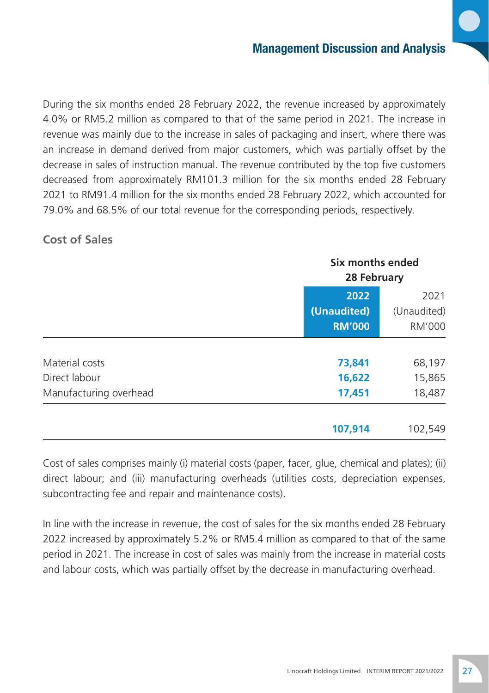During the six months ended 28 February 2022, the revenue increased by approximately 4.0% or RM5.2 million as compared to that of the same period in 2021. The increase in revenue was mainly due to the increase in sales of packaging and insert, where there was an increase in demand derived from major customers, which was partially offset by the decrease in sales of instruction manual. The revenue contributed by the top five customers decreased from approximately RM101.3 million for the six months ended 28 February 2021 to RM91.4 million for the six months ended 28 February 2022, which accounted for 79.0% and 68.5% of our total revenue for the corresponding periods, respectively.

#### **Cost of Sales**

|                        |                                      | Six months ended<br>28 February |  |
|------------------------|--------------------------------------|---------------------------------|--|
|                        | 2022<br>(Unaudited)<br><b>RM'000</b> | 2021<br>(Unaudited)<br>RM'000   |  |
|                        |                                      |                                 |  |
| Material costs         | 73,841                               | 68,197                          |  |
| Direct labour          | 16,622                               | 15,865                          |  |
| Manufacturing overhead | 17,451                               | 18,487                          |  |
|                        | 107,914                              | 102,549                         |  |

Cost of sales comprises mainly (i) material costs (paper, facer, glue, chemical and plates); (ii) direct labour; and (iii) manufacturing overheads (utilities costs, depreciation expenses, subcontracting fee and repair and maintenance costs).

In line with the increase in revenue, the cost of sales for the six months ended 28 February 2022 increased by approximately 5.2% or RM5.4 million as compared to that of the same period in 2021. The increase in cost of sales was mainly from the increase in material costs and labour costs, which was partially offset by the decrease in manufacturing overhead.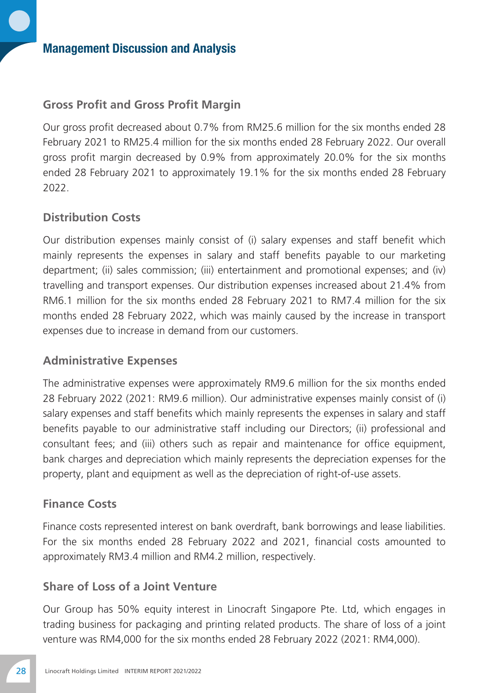#### **Gross Profit and Gross Profit Margin**

Our gross profit decreased about 0.7% from RM25.6 million for the six months ended 28 February 2021 to RM25.4 million for the six months ended 28 February 2022. Our overall gross profit margin decreased by 0.9% from approximately 20.0% for the six months ended 28 February 2021 to approximately 19.1% for the six months ended 28 February 2022.

#### **Distribution Costs**

Our distribution expenses mainly consist of (i) salary expenses and staff benefit which mainly represents the expenses in salary and staff benefits payable to our marketing department; (ii) sales commission; (iii) entertainment and promotional expenses; and (iv) travelling and transport expenses. Our distribution expenses increased about 21.4% from RM6.1 million for the six months ended 28 February 2021 to RM7.4 million for the six months ended 28 February 2022, which was mainly caused by the increase in transport expenses due to increase in demand from our customers.

#### **Administrative Expenses**

The administrative expenses were approximately RM9.6 million for the six months ended 28 February 2022 (2021: RM9.6 million). Our administrative expenses mainly consist of (i) salary expenses and staff benefits which mainly represents the expenses in salary and staff benefits payable to our administrative staff including our Directors; (ii) professional and consultant fees; and (iii) others such as repair and maintenance for office equipment, bank charges and depreciation which mainly represents the depreciation expenses for the property, plant and equipment as well as the depreciation of right-of-use assets.

#### **Finance Costs**

Finance costs represented interest on bank overdraft, bank borrowings and lease liabilities. For the six months ended 28 February 2022 and 2021, financial costs amounted to approximately RM3.4 million and RM4.2 million, respectively.

#### **Share of Loss of a Joint Venture**

Our Group has 50% equity interest in Linocraft Singapore Pte. Ltd, which engages in trading business for packaging and printing related products. The share of loss of a joint venture was RM4,000 for the six months ended 28 February 2022 (2021: RM4,000).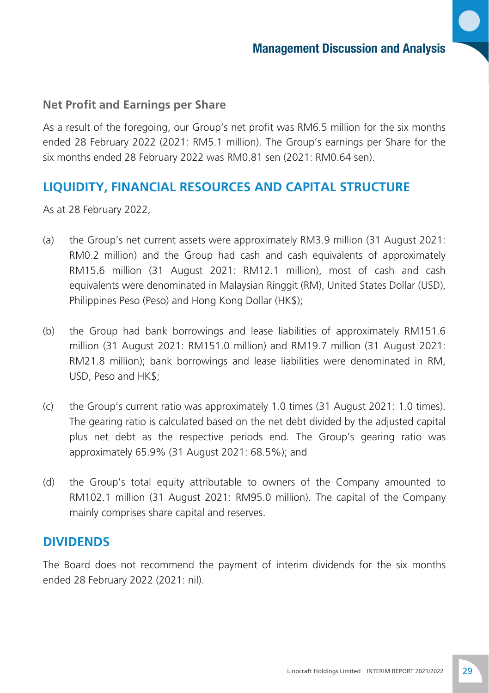#### **Net Profit and Earnings per Share**

As a result of the foregoing, our Group's net profit was RM6.5 million for the six months ended 28 February 2022 (2021: RM5.1 million). The Group's earnings per Share for the six months ended 28 February 2022 was RM0.81 sen (2021: RM0.64 sen).

#### **LIQUIDITY, FINANCIAL RESOURCES AND CAPITAL STRUCTURE**

As at 28 February 2022,

- (a) the Group's net current assets were approximately RM3.9 million (31 August 2021: RM0.2 million) and the Group had cash and cash equivalents of approximately RM15.6 million (31 August 2021: RM12.1 million), most of cash and cash equivalents were denominated in Malaysian Ringgit (RM), United States Dollar (USD), Philippines Peso (Peso) and Hong Kong Dollar (HK\$);
- (b) the Group had bank borrowings and lease liabilities of approximately RM151.6 million (31 August 2021: RM151.0 million) and RM19.7 million (31 August 2021: RM21.8 million); bank borrowings and lease liabilities were denominated in RM, USD, Peso and HK\$;
- (c) the Group's current ratio was approximately 1.0 times (31 August 2021: 1.0 times). The gearing ratio is calculated based on the net debt divided by the adjusted capital plus net debt as the respective periods end. The Group's gearing ratio was approximately 65.9% (31 August 2021: 68.5%); and
- (d) the Group's total equity attributable to owners of the Company amounted to RM102.1 million (31 August 2021: RM95.0 million). The capital of the Company mainly comprises share capital and reserves.

#### **DIVIDENDS**

The Board does not recommend the payment of interim dividends for the six months ended 28 February 2022 (2021: nil).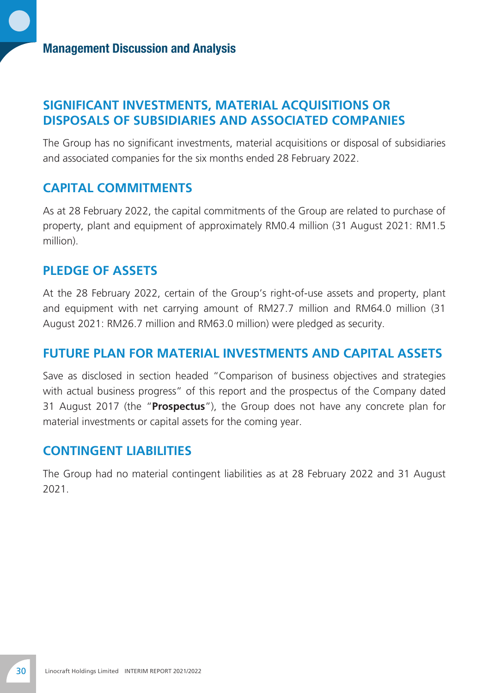#### **SIGNIFICANT INVESTMENTS, MATERIAL ACQUISITIONS OR DISPOSALS OF SUBSIDIARIES AND ASSOCIATED COMPANIES**

The Group has no significant investments, material acquisitions or disposal of subsidiaries and associated companies for the six months ended 28 February 2022.

#### **CAPITAL COMMITMENTS**

As at 28 February 2022, the capital commitments of the Group are related to purchase of property, plant and equipment of approximately RM0.4 million (31 August 2021: RM1.5 million).

## **PLEDGE OF ASSETS**

At the 28 February 2022, certain of the Group's right-of-use assets and property, plant and equipment with net carrying amount of RM27.7 million and RM64.0 million (31 August 2021: RM26.7 million and RM63.0 million) were pledged as security.

#### **FUTURE PLAN FOR MATERIAL INVESTMENTS AND CAPITAL ASSETS**

Save as disclosed in section headed "Comparison of business objectives and strategies with actual business progress" of this report and the prospectus of the Company dated 31 August 2017 (the "**Prospectus**"), the Group does not have any concrete plan for material investments or capital assets for the coming year.

#### **CONTINGENT LIABILITIES**

The Group had no material contingent liabilities as at 28 February 2022 and 31 August 2021.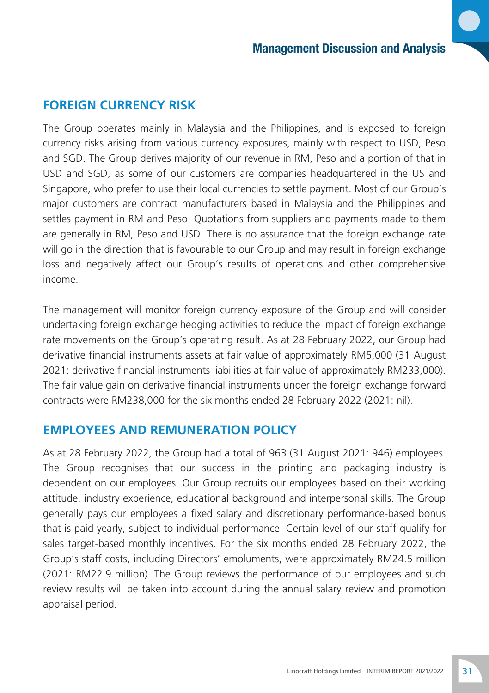#### **FOREIGN CURRENCY RISK**

The Group operates mainly in Malaysia and the Philippines, and is exposed to foreign currency risks arising from various currency exposures, mainly with respect to USD, Peso and SGD. The Group derives majority of our revenue in RM, Peso and a portion of that in USD and SGD, as some of our customers are companies headquartered in the US and Singapore, who prefer to use their local currencies to settle payment. Most of our Group's major customers are contract manufacturers based in Malaysia and the Philippines and settles payment in RM and Peso. Quotations from suppliers and payments made to them are generally in RM, Peso and USD. There is no assurance that the foreign exchange rate will go in the direction that is favourable to our Group and may result in foreign exchange loss and negatively affect our Group's results of operations and other comprehensive income.

The management will monitor foreign currency exposure of the Group and will consider undertaking foreign exchange hedging activities to reduce the impact of foreign exchange rate movements on the Group's operating result. As at 28 February 2022, our Group had derivative financial instruments assets at fair value of approximately RM5,000 (31 August 2021: derivative financial instruments liabilities at fair value of approximately RM233,000). The fair value gain on derivative financial instruments under the foreign exchange forward contracts were RM238,000 for the six months ended 28 February 2022 (2021: nil).

#### **EMPLOYEES AND REMUNERATION POLICY**

As at 28 February 2022, the Group had a total of 963 (31 August 2021: 946) employees. The Group recognises that our success in the printing and packaging industry is dependent on our employees. Our Group recruits our employees based on their working attitude, industry experience, educational background and interpersonal skills. The Group generally pays our employees a fixed salary and discretionary performance-based bonus that is paid yearly, subject to individual performance. Certain level of our staff qualify for sales target-based monthly incentives. For the six months ended 28 February 2022, the Group's staff costs, including Directors' emoluments, were approximately RM24.5 million (2021: RM22.9 million). The Group reviews the performance of our employees and such review results will be taken into account during the annual salary review and promotion appraisal period.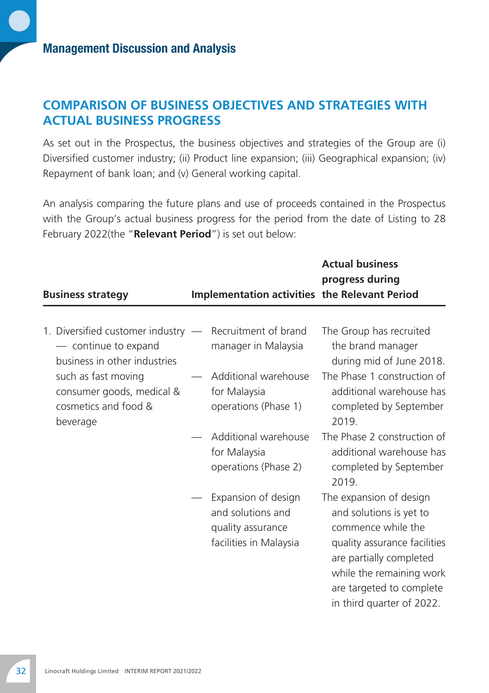#### **COMPARISON OF BUSINESS OBJECTIVES AND STRATEGIES WITH ACTUAL BUSINESS PROGRESS**

As set out in the Prospectus, the business objectives and strategies of the Group are (i) Diversified customer industry; (ii) Product line expansion; (iii) Geographical expansion; (iv) Repayment of bank loan; and (v) General working capital.

An analysis comparing the future plans and use of proceeds contained in the Prospectus with the Group's actual business progress for the period from the date of Listing to 28 February 2022(the "**Relevant Period**") is set out below:

| <b>Business strategy</b>                                                                                                                         | <b>Implementation activities the Relevant Period</b>                                    | <b>Actual business</b><br>progress during                                                                                                                                                                                |
|--------------------------------------------------------------------------------------------------------------------------------------------------|-----------------------------------------------------------------------------------------|--------------------------------------------------------------------------------------------------------------------------------------------------------------------------------------------------------------------------|
| 1. Diversified customer industry $-$<br>- continue to expand<br>business in other industries<br>such as fast moving<br>consumer goods, medical & | Recruitment of brand<br>manager in Malaysia<br>Additional warehouse<br>for Malaysia     | The Group has recruited<br>the brand manager<br>during mid of June 2018.<br>The Phase 1 construction of<br>additional warehouse has                                                                                      |
| cosmetics and food &<br>beverage                                                                                                                 | operations (Phase 1)                                                                    | completed by September<br>2019.                                                                                                                                                                                          |
|                                                                                                                                                  | Additional warehouse<br>for Malaysia<br>operations (Phase 2)                            | The Phase 2 construction of<br>additional warehouse has<br>completed by September<br>2019.                                                                                                                               |
|                                                                                                                                                  | Expansion of design<br>and solutions and<br>quality assurance<br>facilities in Malaysia | The expansion of design<br>and solutions is yet to<br>commence while the<br>quality assurance facilities<br>are partially completed<br>while the remaining work<br>are targeted to complete<br>in third quarter of 2022. |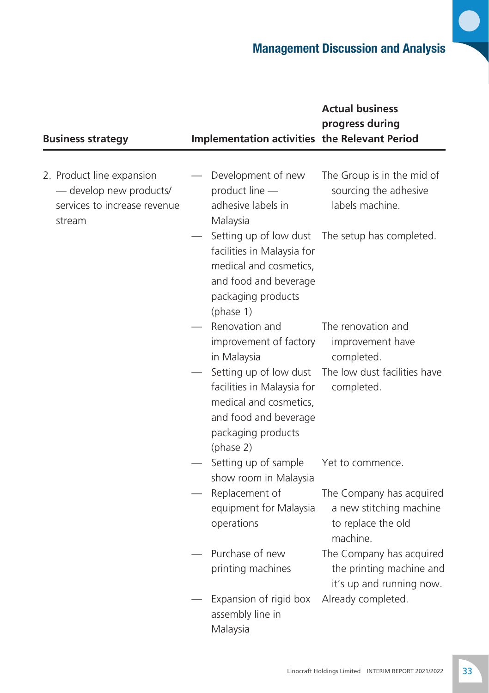D

| <b>Business strategy</b>                                                                       | <b>Implementation activities the Relevant Period</b>                                                                                       | <b>Actual business</b><br>progress during                                             |
|------------------------------------------------------------------------------------------------|--------------------------------------------------------------------------------------------------------------------------------------------|---------------------------------------------------------------------------------------|
| 2. Product line expansion<br>- develop new products/<br>services to increase revenue<br>stream | Development of new<br>product line -<br>adhesive labels in<br>Malaysia                                                                     | The Group is in the mid of<br>sourcing the adhesive<br>labels machine.                |
|                                                                                                | Setting up of low dust<br>facilities in Malaysia for<br>medical and cosmetics,<br>and food and beverage<br>packaging products<br>(phase 1) | The setup has completed.                                                              |
|                                                                                                | Renovation and<br>improvement of factory<br>in Malaysia                                                                                    | The renovation and<br>improvement have<br>completed.                                  |
|                                                                                                | Setting up of low dust<br>facilities in Malaysia for<br>medical and cosmetics,<br>and food and beverage<br>packaging products<br>(phase 2) | The low dust facilities have<br>completed.                                            |
|                                                                                                | Setting up of sample<br>show room in Malaysia                                                                                              | Yet to commence.                                                                      |
|                                                                                                | Replacement of<br>equipment for Malaysia<br>operations                                                                                     | The Company has acquired<br>a new stitching machine<br>to replace the old<br>machine. |
|                                                                                                | Purchase of new<br>printing machines                                                                                                       | The Company has acquired<br>the printing machine and<br>it's up and running now.      |
|                                                                                                | Expansion of rigid box<br>assembly line in<br>Malaysia                                                                                     | Already completed.                                                                    |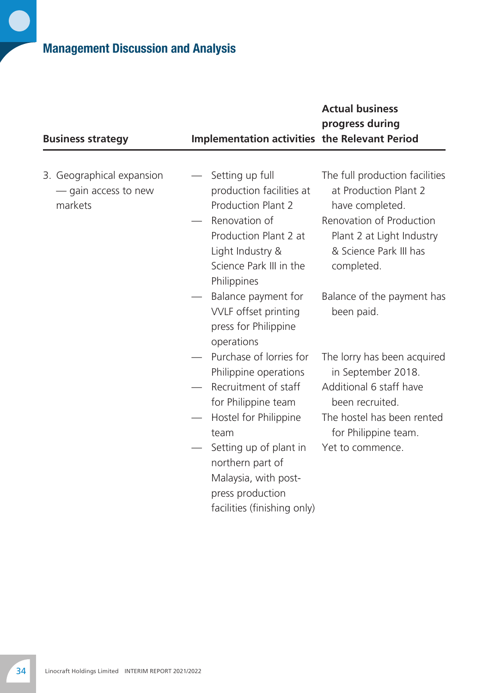r

| <b>Business strategy</b>                                     | <b>Implementation activities the Relevant Period</b>                                                                                                                                                                       | <b>Actual business</b><br>progress during                                                                                                                                   |
|--------------------------------------------------------------|----------------------------------------------------------------------------------------------------------------------------------------------------------------------------------------------------------------------------|-----------------------------------------------------------------------------------------------------------------------------------------------------------------------------|
| 3. Geographical expansion<br>- gain access to new<br>markets | Setting up full<br>production facilities at<br>Production Plant 2<br>Renovation of<br>Production Plant 2 at<br>Light Industry &<br>Science Park III in the<br>Philippines                                                  | The full production facilities<br>at Production Plant 2<br>have completed.<br>Renovation of Production<br>Plant 2 at Light Industry<br>& Science Park III has<br>completed. |
|                                                              | Balance payment for<br>VVLF offset printing<br>press for Philippine<br>operations                                                                                                                                          | Balance of the payment has<br>been paid.                                                                                                                                    |
|                                                              | Purchase of lorries for<br>Philippine operations<br>Recruitment of staff<br>for Philippine team<br>Hostel for Philippine<br>team<br>Setting up of plant in<br>northern part of<br>Malaysia, with post-<br>press production | The lorry has been acquired<br>in September 2018.<br>Additional 6 staff have<br>been recruited.<br>The hostel has been rented<br>for Philippine team.<br>Yet to commence.   |
|                                                              | facilities (finishing only)                                                                                                                                                                                                |                                                                                                                                                                             |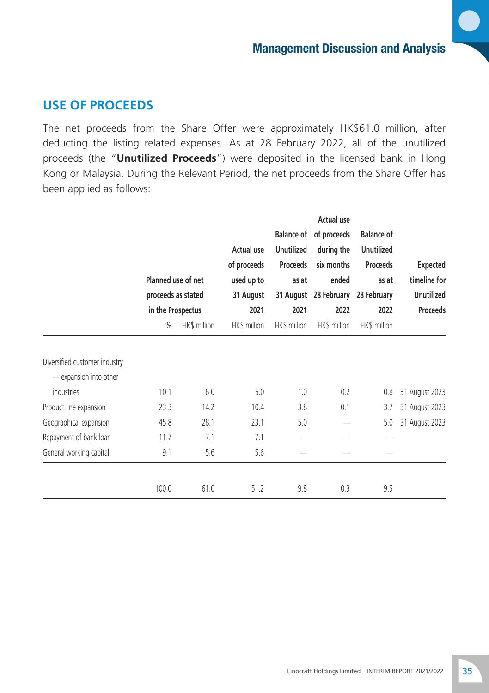#### **USE OF PROCEEDS**

The net proceeds from the Share Offer were approximately HK\$61.0 million, after deducting the listing related expenses. As at 28 February 2022, all of the unutilized proceeds (the "**Unutilized Proceeds**") were deposited in the licensed bank in Hong Kong or Malaysia. During the Relevant Period, the net proceeds from the Share Offer has been applied as follows:

|                                      |                                          |              | <b>Actual use</b>       |                   |                                |                      |                                   |
|--------------------------------------|------------------------------------------|--------------|-------------------------|-------------------|--------------------------------|----------------------|-----------------------------------|
|                                      |                                          |              |                         |                   | Balance of of proceeds         | <b>Balance of</b>    |                                   |
|                                      |                                          |              | Actual use              | <b>Unutilized</b> | during the                     | <b>Unutilized</b>    |                                   |
|                                      |                                          |              | of proceeds             | Proceeds          | six months                     | Proceeds             | <b>Expected</b>                   |
|                                      | Planned use of net<br>proceeds as stated |              | used up to<br>31 August | as at             | ended<br>31 August 28 February | as at<br>28 February | timeline for<br><b>Unutilized</b> |
|                                      |                                          |              |                         |                   |                                |                      |                                   |
|                                      | in the Prospectus                        |              | 2021                    | 2021              | 2022                           | 2022                 | <b>Proceeds</b>                   |
|                                      | $\%$                                     | HK\$ million | HK\$ million            | HK\$ million      | HK\$ million                   | HK\$ million         |                                   |
| Diversified customer industry        |                                          |              |                         |                   |                                |                      |                                   |
| - expansion into other<br>industries | 10.1                                     | 6.0          | 5.0                     | 1.0               | 0.2                            | 0.8                  | 31 August 2023                    |
| Product line expansion               | 23.3                                     | 14.2         | 10.4                    | 3.8               | 0.1                            | 3.7                  | 31 August 2023                    |
| Geographical expansion               | 45.8                                     | 28.1         | 23.1                    | 5.0               |                                | 5.0                  | 31 August 2023                    |
| Repayment of bank loan               | 11.7                                     | 7.1          | 7.1                     |                   |                                |                      |                                   |
| General working capital              | 9.1                                      | 5.6          | 5.6                     |                   |                                |                      |                                   |
|                                      | 100.0                                    | 61.0         | 51.2                    | 9.8               | 0.3                            | 9.5                  |                                   |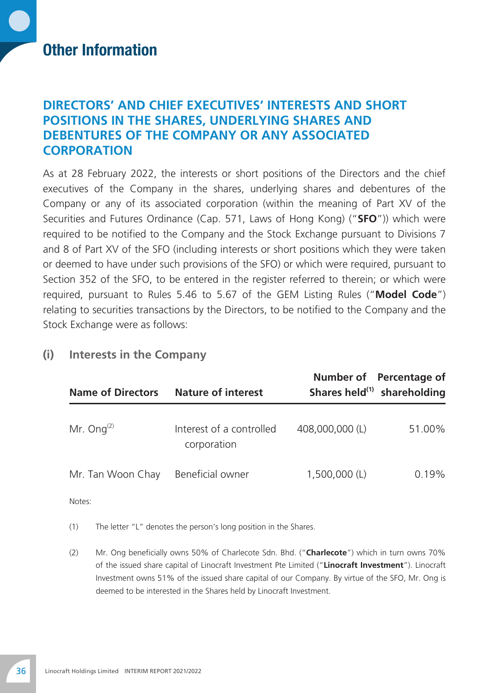# Other Information

### **Directors' and Chief Executives' Interests and Short Positions in the Shares, Underlying Shares and Debentures of the Company or Any Associated Corporation**

As at 28 February 2022, the interests or short positions of the Directors and the chief executives of the Company in the shares, underlying shares and debentures of the Company or any of its associated corporation (within the meaning of Part XV of the Securities and Futures Ordinance (Cap. 571, Laws of Hong Kong) ("**SFO**")) which were required to be notified to the Company and the Stock Exchange pursuant to Divisions 7 and 8 of Part XV of the SFO (including interests or short positions which they were taken or deemed to have under such provisions of the SFO) or which were required, pursuant to Section 352 of the SFO, to be entered in the register referred to therein; or which were required, pursuant to Rules 5.46 to 5.67 of the GEM Listing Rules ("**Model Code**") relating to securities transactions by the Directors, to be notified to the Company and the Stock Exchange were as follows:

| <b>Name of Directors</b> | <b>Nature of interest</b>               |                 | Number of Percentage of<br>Shares held <sup>(1)</sup> shareholding |
|--------------------------|-----------------------------------------|-----------------|--------------------------------------------------------------------|
| Mr. Ong $(2)$            | Interest of a controlled<br>corporation | 408,000,000 (L) | 51.00%                                                             |
| Mr. Tan Woon Chay        | Beneficial owner                        | $1,500,000$ (L) | 0.19%                                                              |

#### **(i) Interests in the Company**

Notes:

(1) The letter "L" denotes the person's long position in the Shares.

(2) Mr. Ong beneficially owns 50% of Charlecote Sdn. Bhd. ("**Charlecote**") which in turn owns 70% of the issued share capital of Linocraft Investment Pte Limited ("**Linocraft Investment**"). Linocraft Investment owns 51% of the issued share capital of our Company. By virtue of the SFO, Mr. Ong is deemed to be interested in the Shares held by Linocraft Investment.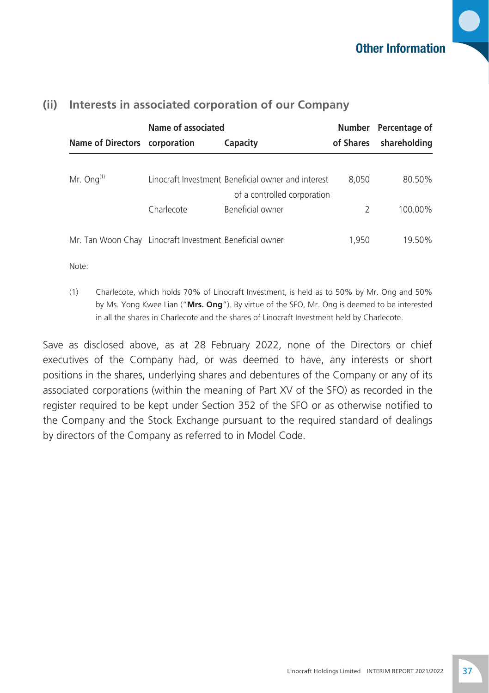|                               | Name of associated                                      |                                                    | Number Percentage of |              |
|-------------------------------|---------------------------------------------------------|----------------------------------------------------|----------------------|--------------|
| Name of Directors corporation |                                                         | Capacity                                           | of Shares            | shareholding |
|                               |                                                         |                                                    |                      |              |
| Mr. Ong $(1)$                 |                                                         | Linocraft Investment Beneficial owner and interest | 8.050                | 80.50%       |
|                               |                                                         | of a controlled corporation                        |                      |              |
|                               | Charlecote                                              | Beneficial owner                                   | $\mathcal{L}$        | 100.00%      |
|                               |                                                         |                                                    |                      |              |
|                               | Mr. Tan Woon Chay Linocraft Investment Beneficial owner |                                                    | 1.950                | 19.50%       |

#### **(ii) Interests in associated corporation of our Company**

Note:

(1) Charlecote, which holds 70% of Linocraft Investment, is held as to 50% by Mr. Ong and 50% by Ms. Yong Kwee Lian ("**Mrs. Ong**"). By virtue of the SFO, Mr. Ong is deemed to be interested in all the shares in Charlecote and the shares of Linocraft Investment held by Charlecote.

Save as disclosed above, as at 28 February 2022, none of the Directors or chief executives of the Company had, or was deemed to have, any interests or short positions in the shares, underlying shares and debentures of the Company or any of its associated corporations (within the meaning of Part XV of the SFO) as recorded in the register required to be kept under Section 352 of the SFO or as otherwise notified to the Company and the Stock Exchange pursuant to the required standard of dealings by directors of the Company as referred to in Model Code.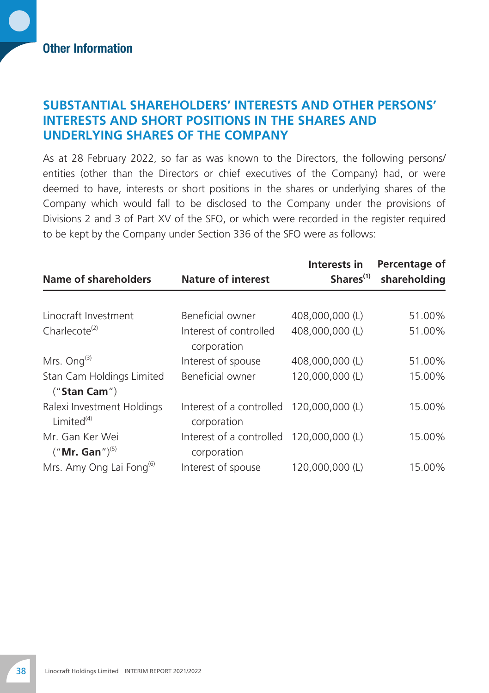#### **Substantial Shareholders' Interests and Other Persons' Interests and Short Positions in the Shares and Underlying Shares of the Company**

As at 28 February 2022, so far as was known to the Directors, the following persons/ entities (other than the Directors or chief executives of the Company) had, or were deemed to have, interests or short positions in the shares or underlying shares of the Company which would fall to be disclosed to the Company under the provisions of Divisions 2 and 3 of Part XV of the SFO, or which were recorded in the register required to be kept by the Company under Section 336 of the SFO were as follows:

| <b>Name of shareholders</b>                     | <b>Nature of interest</b>               | Interests in<br>Shares <sup>(1)</sup> | Percentage of<br>shareholding |
|-------------------------------------------------|-----------------------------------------|---------------------------------------|-------------------------------|
|                                                 |                                         |                                       |                               |
| Linocraft Investment                            | Beneficial owner                        | 408,000,000 (L)                       | 51.00%                        |
| Charlecote <sup>(2)</sup>                       | Interest of controlled<br>corporation   | 408,000,000 (L)                       | 51.00%                        |
| Mrs. Ong $^{(3)}$                               | Interest of spouse                      | 408,000,000 (L)                       | 51.00%                        |
| Stan Cam Holdings Limited<br>$($ "Stan Cam" $)$ | Beneficial owner                        | 120,000,000 (L)                       | 15.00%                        |
| Ralexi Investment Holdings<br>Limited $(4)$     | Interest of a controlled<br>corporation | 120,000,000 (L)                       | 15.00%                        |
| Mr. Gan Ker Wei<br>$("Mr. Gan")^{(5)}$          | Interest of a controlled<br>corporation | 120,000,000 (L)                       | 15.00%                        |
| Mrs. Amy Ong Lai Fong <sup>(6)</sup>            | Interest of spouse                      | 120,000,000 (L)                       | 15.00%                        |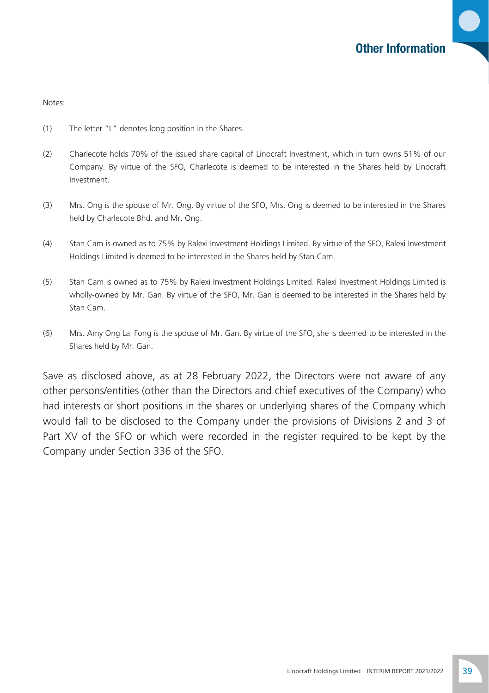Notes:

- (1) The letter "L" denotes long position in the Shares.
- (2) Charlecote holds 70% of the issued share capital of Linocraft Investment, which in turn owns 51% of our Company. By virtue of the SFO, Charlecote is deemed to be interested in the Shares held by Linocraft Investment.
- (3) Mrs. Ong is the spouse of Mr. Ong. By virtue of the SFO, Mrs. Ong is deemed to be interested in the Shares held by Charlecote Bhd. and Mr. Ong.
- (4) Stan Cam is owned as to 75% by Ralexi Investment Holdings Limited. By virtue of the SFO, Ralexi Investment Holdings Limited is deemed to be interested in the Shares held by Stan Cam.
- (5) Stan Cam is owned as to 75% by Ralexi Investment Holdings Limited. Ralexi Investment Holdings Limited is wholly-owned by Mr. Gan. By virtue of the SFO, Mr. Gan is deemed to be interested in the Shares held by Stan Cam.
- (6) Mrs. Amy Ong Lai Fong is the spouse of Mr. Gan. By virtue of the SFO, she is deemed to be interested in the Shares held by Mr. Gan.

Save as disclosed above, as at 28 February 2022, the Directors were not aware of any other persons/entities (other than the Directors and chief executives of the Company) who had interests or short positions in the shares or underlying shares of the Company which would fall to be disclosed to the Company under the provisions of Divisions 2 and 3 of Part XV of the SFO or which were recorded in the register required to be kept by the Company under Section 336 of the SFO.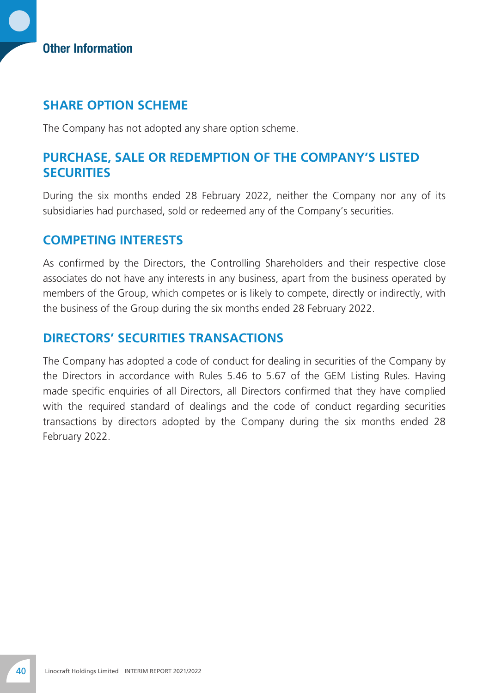#### Other Information

#### **Share Option Scheme**

The Company has not adopted any share option scheme.

#### **Purchase, Sale or Redemption of the Company's Listed SECURITIES**

During the six months ended 28 February 2022, neither the Company nor any of its subsidiaries had purchased, sold or redeemed any of the Company's securities.

#### **Competing Interests**

As confirmed by the Directors, the Controlling Shareholders and their respective close associates do not have any interests in any business, apart from the business operated by members of the Group, which competes or is likely to compete, directly or indirectly, with the business of the Group during the six months ended 28 February 2022.

### **Directors' Securities Transactions**

The Company has adopted a code of conduct for dealing in securities of the Company by the Directors in accordance with Rules 5.46 to 5.67 of the GEM Listing Rules. Having made specific enquiries of all Directors, all Directors confirmed that they have complied with the required standard of dealings and the code of conduct regarding securities transactions by directors adopted by the Company during the six months ended 28 February 2022.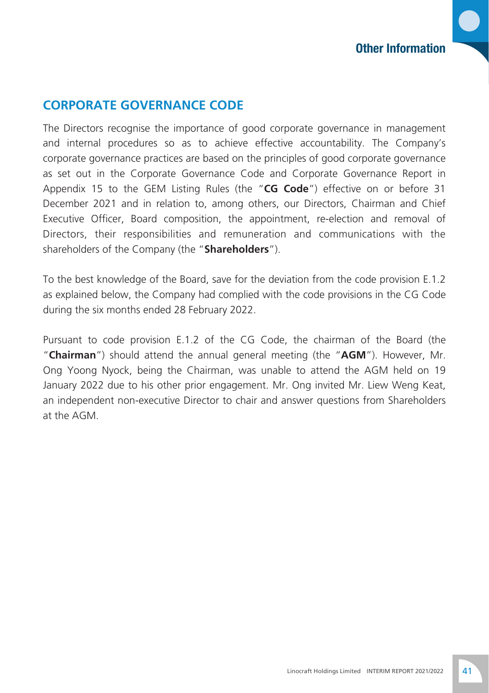### **Corporate Governance Code**

The Directors recognise the importance of good corporate governance in management and internal procedures so as to achieve effective accountability. The Company's corporate governance practices are based on the principles of good corporate governance as set out in the Corporate Governance Code and Corporate Governance Report in Appendix 15 to the GEM Listing Rules (the "**CG Code**") effective on or before 31 December 2021 and in relation to, among others, our Directors, Chairman and Chief Executive Officer, Board composition, the appointment, re-election and removal of Directors, their responsibilities and remuneration and communications with the shareholders of the Company (the "**Shareholders**").

To the best knowledge of the Board, save for the deviation from the code provision E.1.2 as explained below, the Company had complied with the code provisions in the CG Code during the six months ended 28 February 2022.

Pursuant to code provision E.1.2 of the CG Code, the chairman of the Board (the "**Chairman**") should attend the annual general meeting (the "**AGM**"). However, Mr. Ong Yoong Nyock, being the Chairman, was unable to attend the AGM held on 19 January 2022 due to his other prior engagement. Mr. Ong invited Mr. Liew Weng Keat, an independent non-executive Director to chair and answer questions from Shareholders at the AGM.